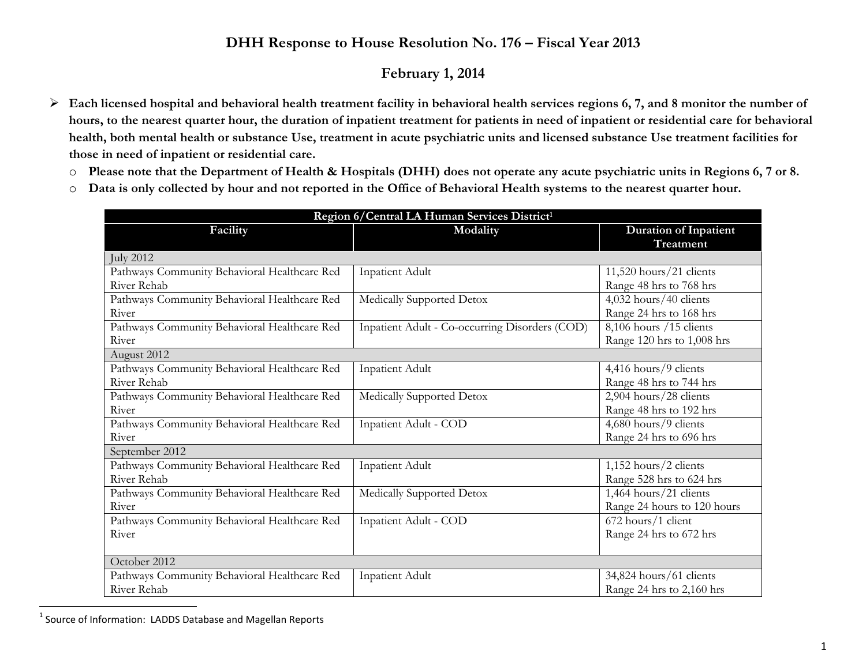## **DHH Response to House Resolution No. 176 – Fiscal Year 2013**

## **February 1, 2014**

- **Each licensed hospital and behavioral health treatment facility in behavioral health services regions 6, 7, and 8 monitor the number of hours, to the nearest quarter hour, the duration of inpatient treatment for patients in need of inpatient or residential care for behavioral health, both mental health or substance Use, treatment in acute psychiatric units and licensed substance Use treatment facilities for those in need of inpatient or residential care.** 
	- o **Please note that the Department of Health & Hospitals (DHH) does not operate any acute psychiatric units in Regions 6, 7 or 8.**
	- o **Data is only collected by hour and not reported in the Office of Behavioral Health systems to the nearest quarter hour.**

| Region 6/Central LA Human Services District <sup>1</sup> |                                                |                              |
|----------------------------------------------------------|------------------------------------------------|------------------------------|
| Facility                                                 | Modality                                       | <b>Duration of Inpatient</b> |
|                                                          |                                                | <b>Treatment</b>             |
| <b>July 2012</b>                                         |                                                |                              |
| Pathways Community Behavioral Healthcare Red             | Inpatient Adult                                | 11,520 hours/21 clients      |
| River Rehab                                              |                                                | Range 48 hrs to 768 hrs      |
| Pathways Community Behavioral Healthcare Red             | Medically Supported Detox                      | 4,032 hours/40 clients       |
| River                                                    |                                                | Range 24 hrs to 168 hrs      |
| Pathways Community Behavioral Healthcare Red             | Inpatient Adult - Co-occurring Disorders (COD) | 8,106 hours /15 clients      |
| River                                                    |                                                | Range 120 hrs to 1,008 hrs   |
| August 2012                                              |                                                |                              |
| Pathways Community Behavioral Healthcare Red             | Inpatient Adult                                | 4,416 hours/9 clients        |
| River Rehab                                              |                                                | Range 48 hrs to 744 hrs      |
| Pathways Community Behavioral Healthcare Red             | Medically Supported Detox                      | 2,904 hours/28 clients       |
| River                                                    |                                                | Range 48 hrs to 192 hrs      |
| Pathways Community Behavioral Healthcare Red             | Inpatient Adult - COD                          | 4,680 hours/9 clients        |
| River                                                    |                                                | Range 24 hrs to 696 hrs      |
| September 2012                                           |                                                |                              |
| Pathways Community Behavioral Healthcare Red             | Inpatient Adult                                | 1,152 hours/2 clients        |
| River Rehab                                              |                                                | Range 528 hrs to 624 hrs     |
| Pathways Community Behavioral Healthcare Red             | Medically Supported Detox                      | 1,464 hours/21 clients       |
| River                                                    |                                                | Range 24 hours to 120 hours  |
| Pathways Community Behavioral Healthcare Red             | Inpatient Adult - COD                          | 672 hours/1 client           |
| River                                                    |                                                | Range 24 hrs to 672 hrs      |
|                                                          |                                                |                              |
| October 2012                                             |                                                |                              |
| Pathways Community Behavioral Healthcare Red             | Inpatient Adult                                | 34,824 hours/61 clients      |
| River Rehab                                              |                                                | Range 24 hrs to 2,160 hrs    |

<sup>&</sup>lt;sup>1</sup> Source of Information: LADDS Database and Magellan Reports

l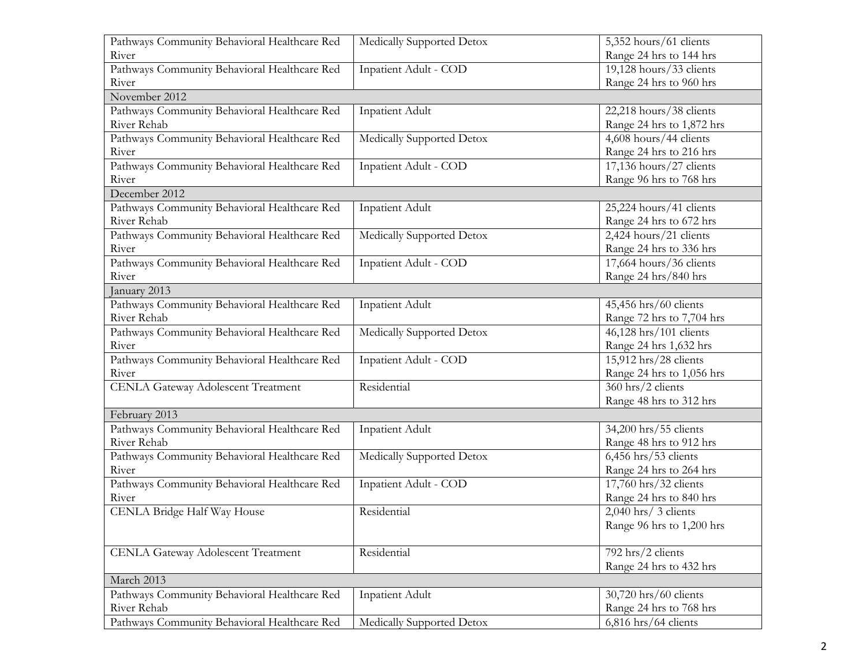| Pathways Community Behavioral Healthcare Red | Medically Supported Detox | 5,352 hours/61 clients    |
|----------------------------------------------|---------------------------|---------------------------|
| River                                        |                           | Range 24 hrs to 144 hrs   |
| Pathways Community Behavioral Healthcare Red | Inpatient Adult - COD     | 19,128 hours/33 clients   |
| River                                        |                           | Range 24 hrs to 960 hrs   |
| November 2012                                |                           |                           |
| Pathways Community Behavioral Healthcare Red | <b>Inpatient Adult</b>    | 22,218 hours/38 clients   |
| River Rehab                                  |                           | Range 24 hrs to 1,872 hrs |
| Pathways Community Behavioral Healthcare Red | Medically Supported Detox | 4,608 hours/44 clients    |
| River                                        |                           | Range 24 hrs to 216 hrs   |
| Pathways Community Behavioral Healthcare Red | Inpatient Adult - COD     | 17,136 hours/27 clients   |
| River                                        |                           | Range 96 hrs to 768 hrs   |
| December 2012                                |                           |                           |
| Pathways Community Behavioral Healthcare Red | <b>Inpatient Adult</b>    | 25,224 hours/41 clients   |
| River Rehab                                  |                           | Range 24 hrs to 672 hrs   |
| Pathways Community Behavioral Healthcare Red | Medically Supported Detox | 2,424 hours/21 clients    |
| River                                        |                           | Range 24 hrs to 336 hrs   |
| Pathways Community Behavioral Healthcare Red | Inpatient Adult - COD     | 17,664 hours/36 clients   |
| River                                        |                           | Range 24 hrs/840 hrs      |
| January 2013                                 |                           |                           |
| Pathways Community Behavioral Healthcare Red | <b>Inpatient Adult</b>    | 45,456 hrs/60 clients     |
| River Rehab                                  |                           | Range 72 hrs to 7,704 hrs |
| Pathways Community Behavioral Healthcare Red | Medically Supported Detox | 46,128 hrs/101 clients    |
| River                                        |                           | Range 24 hrs 1,632 hrs    |
| Pathways Community Behavioral Healthcare Red | Inpatient Adult - COD     | 15,912 hrs/28 clients     |
| River                                        |                           | Range 24 hrs to 1,056 hrs |
| <b>CENLA Gateway Adolescent Treatment</b>    | Residential               | 360 hrs/2 clients         |
|                                              |                           | Range 48 hrs to 312 hrs   |
| February 2013                                |                           |                           |
| Pathways Community Behavioral Healthcare Red | Inpatient Adult           | 34,200 hrs/55 clients     |
| River Rehab                                  |                           | Range 48 hrs to 912 hrs   |
| Pathways Community Behavioral Healthcare Red | Medically Supported Detox | $6,456$ hrs/53 clients    |
| River                                        |                           | Range 24 hrs to 264 hrs   |
| Pathways Community Behavioral Healthcare Red | Inpatient Adult - COD     | 17,760 hrs/32 clients     |
| River                                        |                           | Range 24 hrs to 840 hrs   |
| CENLA Bridge Half Way House                  | Residential               | $2,040$ hrs/ 3 clients    |
|                                              |                           | Range 96 hrs to 1,200 hrs |
|                                              |                           |                           |
| <b>CENLA Gateway Adolescent Treatment</b>    | Residential               | 792 hrs/2 clients         |
|                                              |                           | Range 24 hrs to 432 hrs   |
| March 2013                                   |                           |                           |
| Pathways Community Behavioral Healthcare Red | <b>Inpatient Adult</b>    | 30,720 hrs/60 clients     |
| River Rehab                                  |                           | Range 24 hrs to 768 hrs   |
| Pathways Community Behavioral Healthcare Red | Medically Supported Detox | $6,816$ hrs/64 clients    |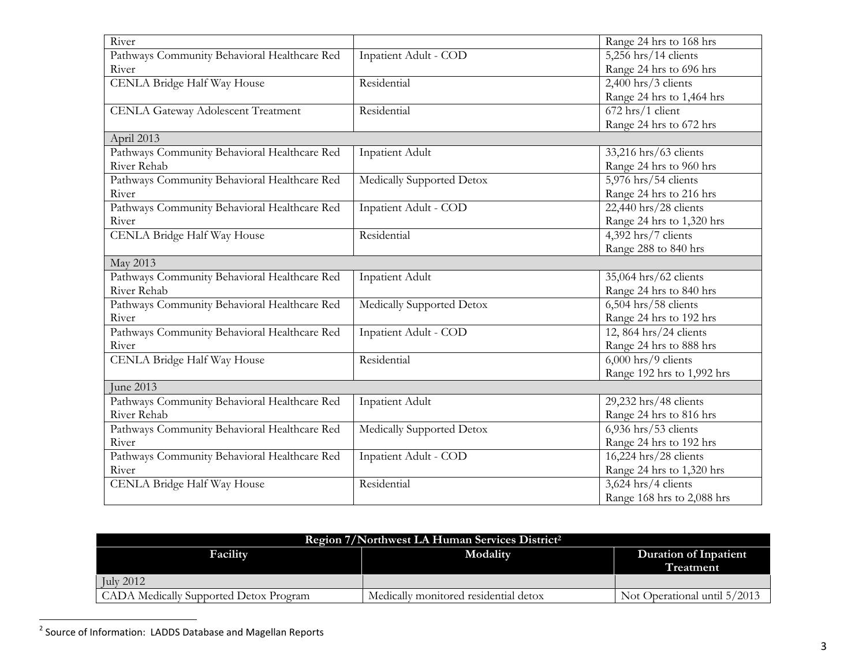| River                                        |                           | Range 24 hrs to 168 hrs              |
|----------------------------------------------|---------------------------|--------------------------------------|
| Pathways Community Behavioral Healthcare Red | Inpatient Adult - COD     | 5,256 hrs/14 clients                 |
| River                                        |                           | Range 24 hrs to 696 hrs              |
| CENLA Bridge Half Way House                  | Residential               | 2,400 hrs/3 clients                  |
|                                              |                           | Range 24 hrs to 1,464 hrs            |
| <b>CENLA Gateway Adolescent Treatment</b>    | Residential               | $672$ hrs/1 client                   |
|                                              |                           | Range 24 hrs to 672 hrs              |
| April 2013                                   |                           |                                      |
| Pathways Community Behavioral Healthcare Red | Inpatient Adult           | 33,216 hrs/63 clients                |
| River Rehab                                  |                           | Range 24 hrs to 960 hrs              |
| Pathways Community Behavioral Healthcare Red | Medically Supported Detox | 5,976 hrs/54 clients                 |
| River                                        |                           | Range 24 hrs to 216 hrs              |
| Pathways Community Behavioral Healthcare Red | Inpatient Adult - COD     | 22,440 hrs/28 clients                |
| River                                        |                           | Range 24 hrs to 1,320 hrs            |
| CENLA Bridge Half Way House                  | Residential               | 4,392 hrs/7 clients                  |
|                                              |                           | Range 288 to 840 hrs                 |
| May 2013                                     |                           |                                      |
| Pathways Community Behavioral Healthcare Red | <b>Inpatient Adult</b>    | 35,064 hrs/62 clients                |
| River Rehab                                  |                           | Range 24 hrs to 840 hrs              |
| Pathways Community Behavioral Healthcare Red | Medically Supported Detox | $6,504$ hrs/58 clients               |
| River                                        |                           | Range 24 hrs to 192 hrs              |
| Pathways Community Behavioral Healthcare Red | Inpatient Adult - COD     | $\overline{12}$ , 864 hrs/24 clients |
| River                                        |                           | Range 24 hrs to 888 hrs              |
| CENLA Bridge Half Way House                  | Residential               | $6,000$ hrs/9 clients                |
|                                              |                           | Range 192 hrs to 1,992 hrs           |
| June 2013                                    |                           |                                      |
| Pathways Community Behavioral Healthcare Red | <b>Inpatient Adult</b>    | 29,232 hrs/48 clients                |
| River Rehab                                  |                           | Range 24 hrs to 816 hrs              |
| Pathways Community Behavioral Healthcare Red | Medically Supported Detox | 6,936 hrs/53 clients                 |
| River                                        |                           | Range 24 hrs to 192 hrs              |
| Pathways Community Behavioral Healthcare Red | Inpatient Adult - COD     | 16,224 hrs/28 clients                |
| River                                        |                           | Range 24 hrs to 1,320 hrs            |
| CENLA Bridge Half Way House                  | Residential               | 3,624 hrs/4 clients                  |
|                                              |                           | Range 168 hrs to 2,088 hrs           |

| Region 7/Northwest LA Human Services District <sup>2</sup> |                                       |                                           |
|------------------------------------------------------------|---------------------------------------|-------------------------------------------|
| Facility                                                   | <b>Modality</b>                       | <b>Duration of Inpatient</b><br>Treatment |
| July 2012                                                  |                                       |                                           |
| CADA Medically Supported Detox Program                     | Medically monitored residential detox | Not Operational until 5/2013              |

 2 Source of Information: LADDS Database and Magellan Reports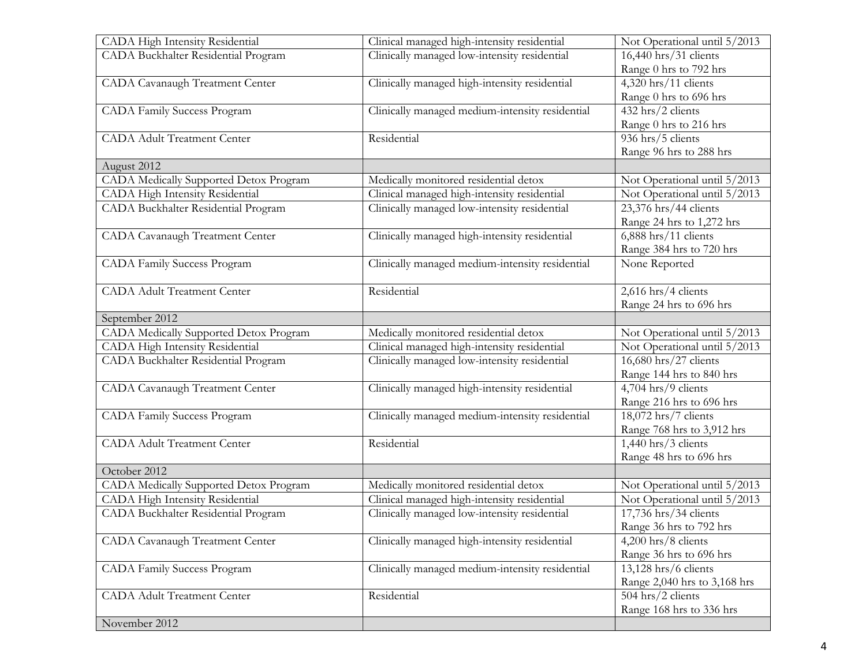| CADA High Intensity Residential               | Clinical managed high-intensity residential     | Not Operational until 5/2013 |
|-----------------------------------------------|-------------------------------------------------|------------------------------|
| CADA Buckhalter Residential Program           | Clinically managed low-intensity residential    | 16,440 hrs/31 clients        |
|                                               |                                                 | Range 0 hrs to 792 hrs       |
| CADA Cavanaugh Treatment Center               | Clinically managed high-intensity residential   | 4,320 hrs/11 clients         |
|                                               |                                                 | Range 0 hrs to 696 hrs       |
| <b>CADA Family Success Program</b>            | Clinically managed medium-intensity residential | 432 hrs/2 clients            |
|                                               |                                                 | Range 0 hrs to 216 hrs       |
| <b>CADA Adult Treatment Center</b>            | Residential                                     | 936 hrs/5 clients            |
|                                               |                                                 | Range 96 hrs to 288 hrs      |
| August 2012                                   |                                                 |                              |
| <b>CADA</b> Medically Supported Detox Program | Medically monitored residential detox           | Not Operational until 5/2013 |
| CADA High Intensity Residential               | Clinical managed high-intensity residential     | Not Operational until 5/2013 |
| CADA Buckhalter Residential Program           | Clinically managed low-intensity residential    | 23,376 hrs/44 clients        |
|                                               |                                                 | Range 24 hrs to 1,272 hrs    |
| CADA Cavanaugh Treatment Center               | Clinically managed high-intensity residential   | $6,888$ hrs/11 clients       |
|                                               |                                                 | Range 384 hrs to 720 hrs     |
| <b>CADA Family Success Program</b>            | Clinically managed medium-intensity residential | None Reported                |
|                                               |                                                 |                              |
| <b>CADA Adult Treatment Center</b>            | Residential                                     | 2,616 hrs/4 clients          |
|                                               |                                                 | Range 24 hrs to 696 hrs      |
| September 2012                                |                                                 |                              |
| CADA Medically Supported Detox Program        | Medically monitored residential detox           | Not Operational until 5/2013 |
| CADA High Intensity Residential               | Clinical managed high-intensity residential     | Not Operational until 5/2013 |
| CADA Buckhalter Residential Program           | Clinically managed low-intensity residential    | 16,680 hrs/27 clients        |
|                                               |                                                 | Range 144 hrs to 840 hrs     |
| <b>CADA</b> Cavanaugh Treatment Center        | Clinically managed high-intensity residential   | 4,704 hrs/9 clients          |
|                                               |                                                 | Range 216 hrs to 696 hrs     |
| <b>CADA Family Success Program</b>            | Clinically managed medium-intensity residential | 18,072 hrs/7 clients         |
|                                               |                                                 | Range 768 hrs to 3,912 hrs   |
| <b>CADA Adult Treatment Center</b>            | Residential                                     | 1,440 hrs/3 clients          |
|                                               |                                                 | Range 48 hrs to 696 hrs      |
| October 2012                                  |                                                 |                              |
| CADA Medically Supported Detox Program        | Medically monitored residential detox           | Not Operational until 5/2013 |
| <b>CADA High Intensity Residential</b>        | Clinical managed high-intensity residential     | Not Operational until 5/2013 |
| CADA Buckhalter Residential Program           | Clinically managed low-intensity residential    | 17,736 hrs/34 clients        |
|                                               |                                                 | Range 36 hrs to 792 hrs      |
| <b>CADA</b> Cavanaugh Treatment Center        | Clinically managed high-intensity residential   | 4,200 hrs/8 clients          |
|                                               |                                                 | Range 36 hrs to 696 hrs      |
| <b>CADA Family Success Program</b>            | Clinically managed medium-intensity residential | 13,128 hrs/6 clients         |
|                                               |                                                 | Range 2,040 hrs to 3,168 hrs |
| <b>CADA Adult Treatment Center</b>            | Residential                                     | 504 hrs/2 clients            |
|                                               |                                                 | Range 168 hrs to 336 hrs     |
| November 2012                                 |                                                 |                              |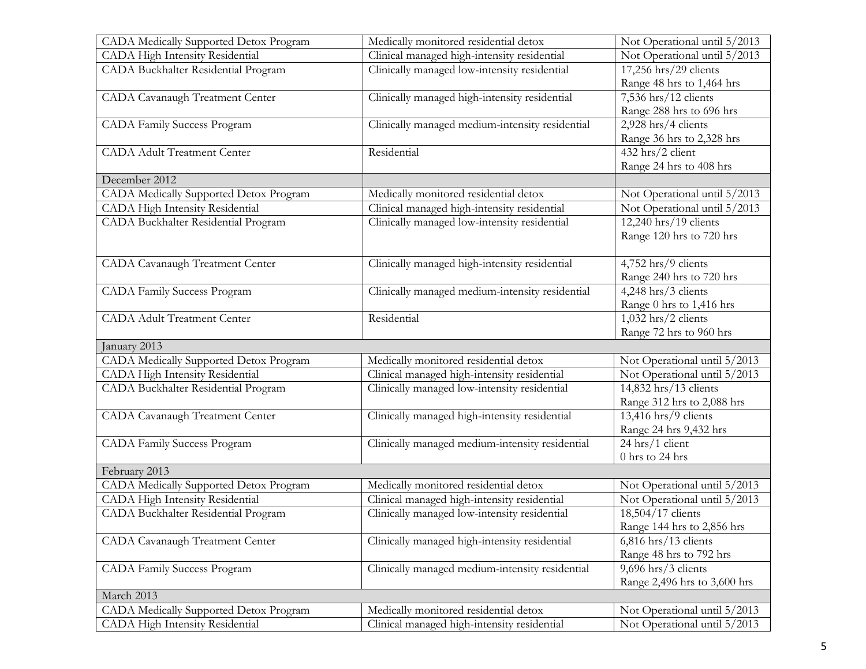| CADA Medically Supported Detox Program | Medically monitored residential detox           | Not Operational until 5/2013 |  |
|----------------------------------------|-------------------------------------------------|------------------------------|--|
| <b>CADA High Intensity Residential</b> | Clinical managed high-intensity residential     | Not Operational until 5/2013 |  |
| CADA Buckhalter Residential Program    | Clinically managed low-intensity residential    | 17,256 hrs/29 clients        |  |
|                                        |                                                 | Range 48 hrs to 1,464 hrs    |  |
| <b>CADA</b> Cavanaugh Treatment Center | Clinically managed high-intensity residential   | 7,536 hrs/12 clients         |  |
|                                        |                                                 | Range 288 hrs to 696 hrs     |  |
| <b>CADA Family Success Program</b>     | Clinically managed medium-intensity residential | 2,928 hrs/4 clients          |  |
|                                        |                                                 | Range 36 hrs to 2,328 hrs    |  |
| <b>CADA Adult Treatment Center</b>     | Residential                                     | 432 hrs/2 client             |  |
|                                        |                                                 | Range 24 hrs to 408 hrs      |  |
| December 2012                          |                                                 |                              |  |
| CADA Medically Supported Detox Program | Medically monitored residential detox           | Not Operational until 5/2013 |  |
| CADA High Intensity Residential        | Clinical managed high-intensity residential     | Not Operational until 5/2013 |  |
| CADA Buckhalter Residential Program    | Clinically managed low-intensity residential    | 12,240 hrs/19 clients        |  |
|                                        |                                                 | Range 120 hrs to 720 hrs     |  |
|                                        |                                                 |                              |  |
| <b>CADA</b> Cavanaugh Treatment Center | Clinically managed high-intensity residential   | 4,752 hrs/9 clients          |  |
|                                        |                                                 | Range 240 hrs to 720 hrs     |  |
| <b>CADA Family Success Program</b>     | Clinically managed medium-intensity residential | 4,248 hrs/3 clients          |  |
|                                        |                                                 | Range 0 hrs to 1,416 hrs     |  |
| <b>CADA Adult Treatment Center</b>     | Residential                                     | $1,032$ hrs/2 clients        |  |
|                                        |                                                 | Range 72 hrs to 960 hrs      |  |
| January 2013                           |                                                 |                              |  |
| CADA Medically Supported Detox Program | Medically monitored residential detox           | Not Operational until 5/2013 |  |
| <b>CADA</b> High Intensity Residential | Clinical managed high-intensity residential     | Not Operational until 5/2013 |  |
| CADA Buckhalter Residential Program    | Clinically managed low-intensity residential    | 14,832 hrs/13 clients        |  |
|                                        |                                                 | Range 312 hrs to 2,088 hrs   |  |
| <b>CADA</b> Cavanaugh Treatment Center | Clinically managed high-intensity residential   | 13,416 hrs/9 clients         |  |
|                                        |                                                 | Range 24 hrs 9,432 hrs       |  |
| <b>CADA Family Success Program</b>     | Clinically managed medium-intensity residential | 24 hrs/1 client              |  |
|                                        |                                                 | 0 hrs to 24 hrs              |  |
| February 2013                          |                                                 |                              |  |
| CADA Medically Supported Detox Program | Medically monitored residential detox           | Not Operational until 5/2013 |  |
| CADA High Intensity Residential        | Clinical managed high-intensity residential     | Not Operational until 5/2013 |  |
| CADA Buckhalter Residential Program    | Clinically managed low-intensity residential    | 18,504/17 clients            |  |
|                                        |                                                 | Range 144 hrs to 2,856 hrs   |  |
| <b>CADA</b> Cavanaugh Treatment Center | Clinically managed high-intensity residential   | $6,816$ hrs/13 clients       |  |
|                                        |                                                 | Range 48 hrs to 792 hrs      |  |
| <b>CADA Family Success Program</b>     | Clinically managed medium-intensity residential | 9,696 hrs/3 clients          |  |
|                                        |                                                 | Range 2,496 hrs to 3,600 hrs |  |
| March 2013                             |                                                 |                              |  |
| CADA Medically Supported Detox Program | Medically monitored residential detox           | Not Operational until 5/2013 |  |
| CADA High Intensity Residential        | Clinical managed high-intensity residential     | Not Operational until 5/2013 |  |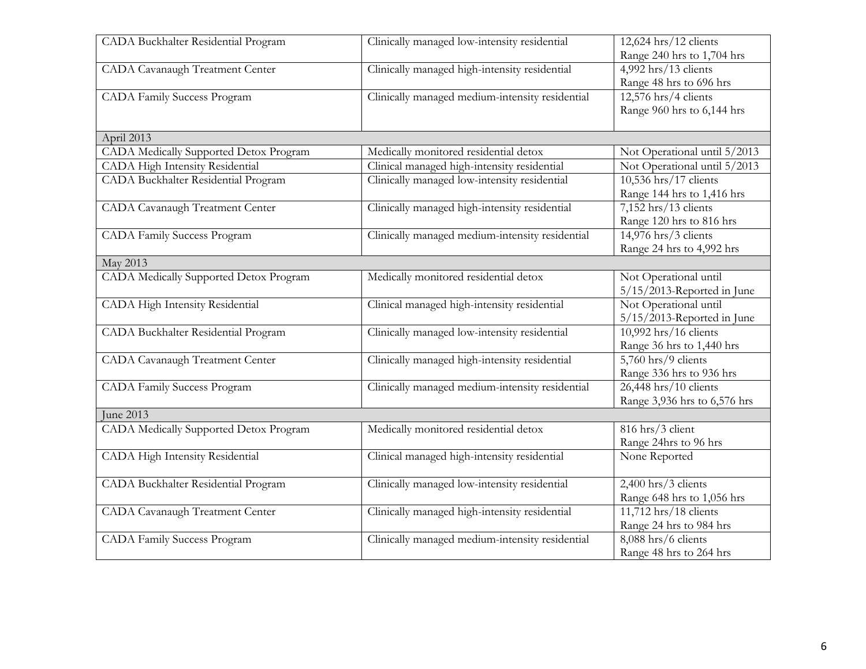| CADA Buckhalter Residential Program           | Clinically managed low-intensity residential    | 12,624 hrs/12 clients                                   |
|-----------------------------------------------|-------------------------------------------------|---------------------------------------------------------|
| <b>CADA</b> Cavanaugh Treatment Center        | Clinically managed high-intensity residential   | Range 240 hrs to 1,704 hrs<br>$4,992$ hrs $/13$ clients |
|                                               |                                                 | Range 48 hrs to 696 hrs                                 |
| <b>CADA Family Success Program</b>            | Clinically managed medium-intensity residential | 12,576 hrs/4 clients                                    |
|                                               |                                                 | Range 960 hrs to 6,144 hrs                              |
|                                               |                                                 |                                                         |
| April 2013                                    |                                                 |                                                         |
| <b>CADA</b> Medically Supported Detox Program | Medically monitored residential detox           | Not Operational until 5/2013                            |
| CADA High Intensity Residential               | Clinical managed high-intensity residential     | Not Operational until 5/2013                            |
| CADA Buckhalter Residential Program           | Clinically managed low-intensity residential    | 10,536 hrs/17 clients                                   |
|                                               |                                                 | Range 144 hrs to 1,416 hrs                              |
| <b>CADA</b> Cavanaugh Treatment Center        | Clinically managed high-intensity residential   | 7,152 hrs/13 clients                                    |
|                                               |                                                 | Range 120 hrs to 816 hrs                                |
| <b>CADA Family Success Program</b>            | Clinically managed medium-intensity residential | 14,976 hrs/3 clients                                    |
|                                               |                                                 | Range 24 hrs to 4,992 hrs                               |
| May 2013                                      |                                                 |                                                         |
| CADA Medically Supported Detox Program        | Medically monitored residential detox           | Not Operational until                                   |
|                                               |                                                 | 5/15/2013-Reported in June                              |
| <b>CADA High Intensity Residential</b>        | Clinical managed high-intensity residential     | Not Operational until                                   |
|                                               |                                                 | 5/15/2013-Reported in June                              |
| CADA Buckhalter Residential Program           | Clinically managed low-intensity residential    | 10,992 hrs/16 clients                                   |
|                                               |                                                 | Range 36 hrs to 1,440 hrs                               |
| <b>CADA</b> Cavanaugh Treatment Center        | Clinically managed high-intensity residential   | $5,760$ hrs/9 clients                                   |
|                                               |                                                 | Range 336 hrs to 936 hrs                                |
| <b>CADA Family Success Program</b>            | Clinically managed medium-intensity residential | 26,448 hrs/10 clients                                   |
|                                               |                                                 | Range 3,936 hrs to 6,576 hrs                            |
| June 2013                                     |                                                 |                                                         |
| CADA Medically Supported Detox Program        | Medically monitored residential detox           | $816 \text{ hrs}/3$ client                              |
|                                               |                                                 | Range 24hrs to 96 hrs                                   |
| CADA High Intensity Residential               | Clinical managed high-intensity residential     | None Reported                                           |
| CADA Buckhalter Residential Program           | Clinically managed low-intensity residential    | 2,400 hrs/3 clients                                     |
|                                               |                                                 | Range 648 hrs to 1,056 hrs                              |
| <b>CADA</b> Cavanaugh Treatment Center        | Clinically managed high-intensity residential   | 11,712 hrs/18 clients                                   |
|                                               |                                                 | Range 24 hrs to 984 hrs                                 |
| <b>CADA</b> Family Success Program            | Clinically managed medium-intensity residential | 8,088 hrs/6 clients                                     |
|                                               |                                                 | Range 48 hrs to 264 hrs                                 |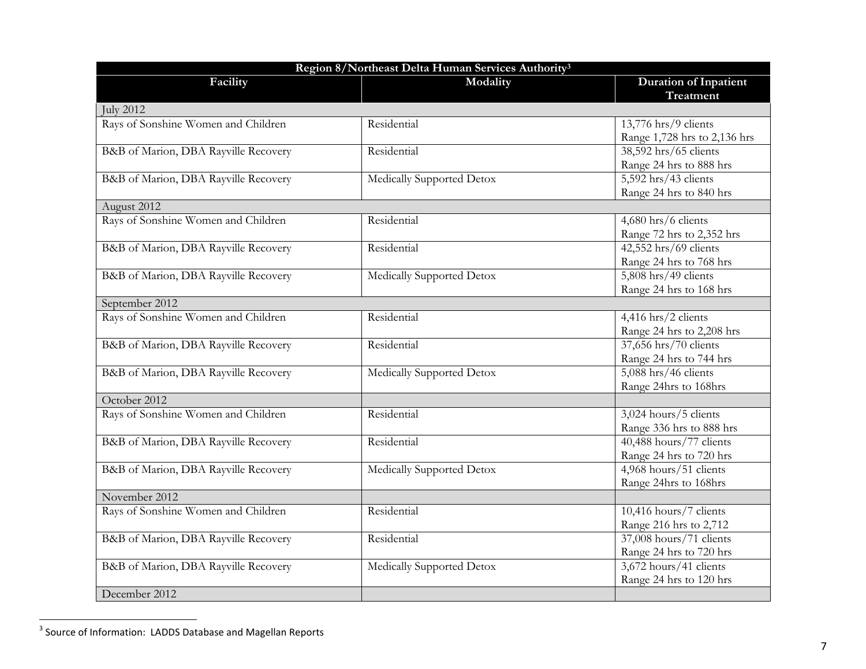| Region 8/Northeast Delta Human Services Authority <sup>3</sup> |                           |                                                  |
|----------------------------------------------------------------|---------------------------|--------------------------------------------------|
| Facility                                                       | Modality                  | <b>Duration of Inpatient</b><br><b>Treatment</b> |
| <b>July 2012</b>                                               |                           |                                                  |
| Rays of Sonshine Women and Children                            | Residential               | 13,776 hrs/9 clients                             |
|                                                                |                           | Range 1,728 hrs to 2,136 hrs                     |
| B&B of Marion, DBA Rayville Recovery                           | Residential               | 38,592 hrs/65 clients                            |
|                                                                |                           | Range 24 hrs to 888 hrs                          |
| B&B of Marion, DBA Rayville Recovery                           | Medically Supported Detox | 5,592 hrs/43 clients                             |
|                                                                |                           | Range 24 hrs to 840 hrs                          |
| August 2012                                                    |                           |                                                  |
| Rays of Sonshine Women and Children                            | Residential               | 4,680 hrs/6 clients                              |
|                                                                |                           | Range 72 hrs to 2,352 hrs                        |
| B&B of Marion, DBA Rayville Recovery                           | Residential               | 42,552 hrs/69 clients                            |
|                                                                |                           | Range 24 hrs to 768 hrs                          |
| B&B of Marion, DBA Rayville Recovery                           | Medically Supported Detox | $5,808$ hrs/49 clients                           |
|                                                                |                           | Range 24 hrs to 168 hrs                          |
| September 2012                                                 |                           |                                                  |
| Rays of Sonshine Women and Children                            | Residential               | 4,416 hrs/2 clients                              |
|                                                                |                           | Range 24 hrs to 2,208 hrs                        |
| B&B of Marion, DBA Rayville Recovery                           | Residential               | 37,656 hrs/70 clients                            |
|                                                                |                           | Range 24 hrs to 744 hrs                          |
| B&B of Marion, DBA Rayville Recovery                           | Medically Supported Detox | $5,088$ hrs/46 clients                           |
|                                                                |                           | Range 24hrs to 168hrs                            |
| October 2012                                                   |                           |                                                  |
| Rays of Sonshine Women and Children                            | Residential               | 3,024 hours/5 clients                            |
|                                                                |                           | Range 336 hrs to 888 hrs                         |
| B&B of Marion, DBA Rayville Recovery                           | Residential               | 40,488 hours/77 clients                          |
|                                                                |                           | Range 24 hrs to 720 hrs                          |
| B&B of Marion, DBA Rayville Recovery                           | Medically Supported Detox | 4,968 hours/51 clients                           |
|                                                                |                           | Range 24hrs to 168hrs                            |
| November 2012                                                  |                           |                                                  |
| Rays of Sonshine Women and Children                            | Residential               | 10,416 hours/7 clients                           |
|                                                                |                           | Range 216 hrs to 2,712                           |
| B&B of Marion, DBA Rayville Recovery                           | Residential               | 37,008 hours/71 clients                          |
|                                                                |                           | Range 24 hrs to 720 hrs                          |
| B&B of Marion, DBA Rayville Recovery                           | Medically Supported Detox | 3,672 hours/41 clients                           |
|                                                                |                           | Range 24 hrs to 120 hrs                          |
| December 2012                                                  |                           |                                                  |

 3 Source of Information: LADDS Database and Magellan Reports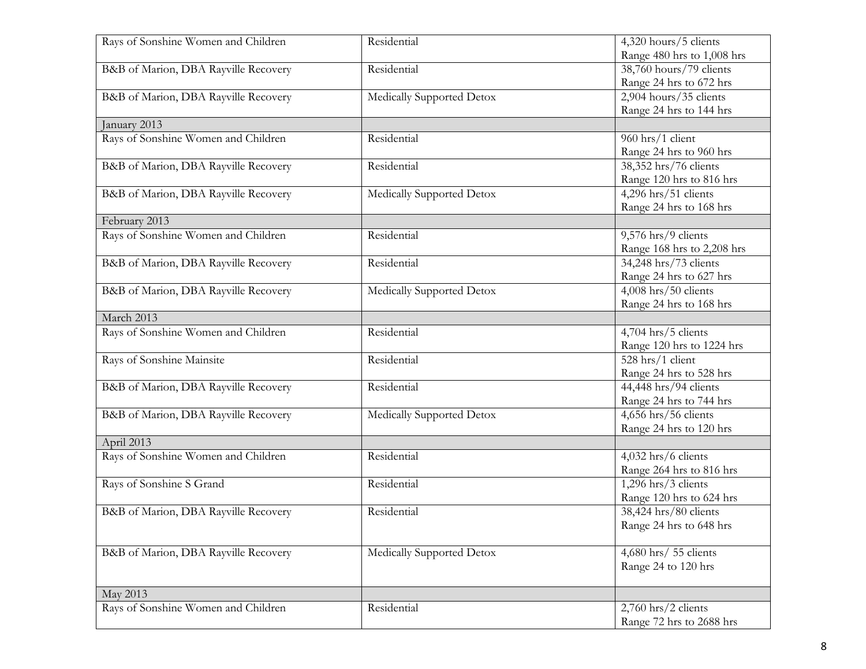| Rays of Sonshine Women and Children  | Residential               | 4,320 hours/5 clients      |
|--------------------------------------|---------------------------|----------------------------|
|                                      |                           | Range 480 hrs to 1,008 hrs |
| B&B of Marion, DBA Rayville Recovery | Residential               | 38,760 hours/79 clients    |
|                                      |                           | Range 24 hrs to 672 hrs    |
| B&B of Marion, DBA Rayville Recovery | Medically Supported Detox | 2,904 hours/35 clients     |
|                                      |                           | Range 24 hrs to 144 hrs    |
| January 2013                         |                           |                            |
| Rays of Sonshine Women and Children  | Residential               | 960 hrs/1 client           |
|                                      |                           | Range 24 hrs to 960 hrs    |
| B&B of Marion, DBA Rayville Recovery | Residential               | 38,352 hrs/76 clients      |
|                                      |                           | Range 120 hrs to 816 hrs   |
| B&B of Marion, DBA Rayville Recovery | Medically Supported Detox | 4,296 hrs/51 clients       |
|                                      |                           | Range 24 hrs to 168 hrs    |
| February 2013                        |                           |                            |
| Rays of Sonshine Women and Children  | Residential               | 9,576 hrs/9 clients        |
|                                      |                           | Range 168 hrs to 2,208 hrs |
| B&B of Marion, DBA Rayville Recovery | Residential               | 34,248 hrs/73 clients      |
|                                      |                           | Range 24 hrs to 627 hrs    |
| B&B of Marion, DBA Rayville Recovery | Medically Supported Detox | $4,008$ hrs/50 clients     |
|                                      |                           | Range 24 hrs to 168 hrs    |
| March 2013                           |                           |                            |
| Rays of Sonshine Women and Children  | Residential               | 4,704 hrs/5 clients        |
|                                      |                           | Range 120 hrs to 1224 hrs  |
| Rays of Sonshine Mainsite            | Residential               | 528 hrs/1 client           |
|                                      |                           | Range 24 hrs to 528 hrs    |
| B&B of Marion, DBA Rayville Recovery | Residential               | 44,448 hrs/94 clients      |
|                                      |                           | Range 24 hrs to 744 hrs    |
| B&B of Marion, DBA Rayville Recovery | Medically Supported Detox | 4,656 hrs/56 clients       |
|                                      |                           | Range 24 hrs to 120 hrs    |
| April 2013                           |                           |                            |
| Rays of Sonshine Women and Children  | Residential               | 4,032 hrs/6 clients        |
|                                      |                           | Range 264 hrs to 816 hrs   |
| Rays of Sonshine S Grand             | Residential               | 1,296 hrs/3 clients        |
|                                      |                           | Range 120 hrs to 624 hrs   |
| B&B of Marion, DBA Rayville Recovery | Residential               | 38,424 hrs/80 clients      |
|                                      |                           | Range 24 hrs to 648 hrs    |
|                                      |                           |                            |
| B&B of Marion, DBA Rayville Recovery | Medically Supported Detox | 4,680 hrs/ 55 clients      |
|                                      |                           | Range 24 to 120 hrs        |
|                                      |                           |                            |
| May 2013                             |                           |                            |
| Rays of Sonshine Women and Children  | Residential               | 2,760 hrs/2 clients        |
|                                      |                           | Range 72 hrs to 2688 hrs   |
|                                      |                           |                            |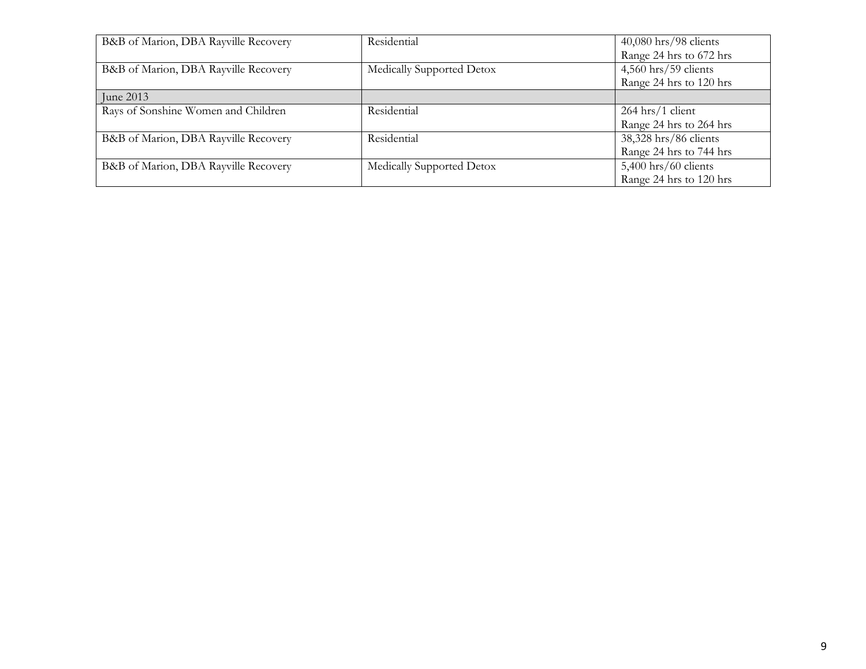| B&B of Marion, DBA Rayville Recovery | Residential               | 40,080 hrs/98 clients   |
|--------------------------------------|---------------------------|-------------------------|
|                                      |                           | Range 24 hrs to 672 hrs |
| B&B of Marion, DBA Rayville Recovery | Medically Supported Detox | $4,560$ hrs/59 clients  |
|                                      |                           | Range 24 hrs to 120 hrs |
| June 2013                            |                           |                         |
| Rays of Sonshine Women and Children  | Residential               | $264$ hrs/1 client      |
|                                      |                           | Range 24 hrs to 264 hrs |
| B&B of Marion, DBA Rayville Recovery | Residential               | 38,328 hrs/86 clients   |
|                                      |                           | Range 24 hrs to 744 hrs |
| B&B of Marion, DBA Rayville Recovery | Medically Supported Detox | 5,400 hrs/60 clients    |
|                                      |                           | Range 24 hrs to 120 hrs |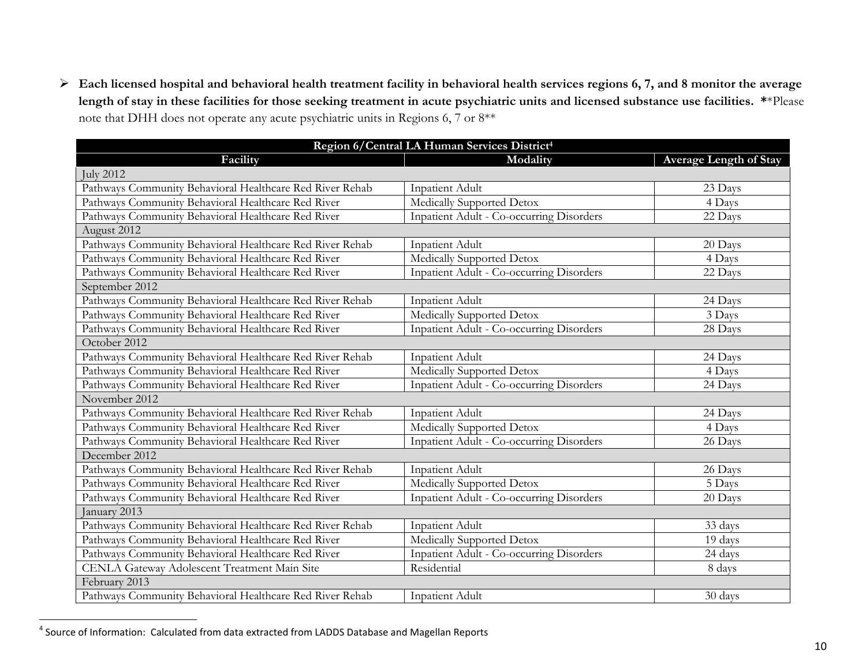**Each licensed hospital and behavioral health treatment facility in behavioral health services regions 6, 7, and 8 monitor the average length of stay in these facilities for those seeking treatment in acute psychiatric units and licensed substance use facilities. \***\*Please note that DHH does not operate any acute psychiatric units in Regions 6, 7 or 8\*\*

| Region 6/Central LA Human Services District <sup>4</sup> |                                                 |                               |  |
|----------------------------------------------------------|-------------------------------------------------|-------------------------------|--|
| Facility                                                 | Modality                                        | <b>Average Length of Stay</b> |  |
| <b>July 2012</b>                                         |                                                 |                               |  |
| Pathways Community Behavioral Healthcare Red River Rehab | Inpatient Adult                                 | 23 Days                       |  |
| Pathways Community Behavioral Healthcare Red River       | Medically Supported Detox                       | 4 Days                        |  |
| Pathways Community Behavioral Healthcare Red River       | Inpatient Adult - Co-occurring Disorders        | 22 Days                       |  |
| August 2012                                              |                                                 |                               |  |
| Pathways Community Behavioral Healthcare Red River Rehab | Inpatient Adult                                 | 20 Days                       |  |
| Pathways Community Behavioral Healthcare Red River       | Medically Supported Detox                       | 4 Days                        |  |
| Pathways Community Behavioral Healthcare Red River       | Inpatient Adult - Co-occurring Disorders        | 22 Days                       |  |
| September 2012                                           |                                                 |                               |  |
| Pathways Community Behavioral Healthcare Red River Rehab | Inpatient Adult                                 | 24 Days                       |  |
| Pathways Community Behavioral Healthcare Red River       | Medically Supported Detox                       | 3 Days                        |  |
| Pathways Community Behavioral Healthcare Red River       | Inpatient Adult - Co-occurring Disorders        | 28 Days                       |  |
| October 2012                                             |                                                 |                               |  |
| Pathways Community Behavioral Healthcare Red River Rehab | Inpatient Adult                                 | 24 Days                       |  |
| Pathways Community Behavioral Healthcare Red River       | Medically Supported Detox                       | 4 Days                        |  |
| Pathways Community Behavioral Healthcare Red River       | <b>Inpatient Adult - Co-occurring Disorders</b> | 24 Days                       |  |
| November 2012                                            |                                                 |                               |  |
| Pathways Community Behavioral Healthcare Red River Rehab | Inpatient Adult                                 | 24 Days                       |  |
| Pathways Community Behavioral Healthcare Red River       | Medically Supported Detox                       | 4 Days                        |  |
| Pathways Community Behavioral Healthcare Red River       | <b>Inpatient Adult - Co-occurring Disorders</b> | 26 Days                       |  |
| December 2012                                            |                                                 |                               |  |
| Pathways Community Behavioral Healthcare Red River Rehab | <b>Inpatient Adult</b>                          | 26 Days                       |  |
| Pathways Community Behavioral Healthcare Red River       | Medically Supported Detox                       | 5 Days                        |  |
| Pathways Community Behavioral Healthcare Red River       | <b>Inpatient Adult - Co-occurring Disorders</b> | 20 Days                       |  |
| January 2013                                             |                                                 |                               |  |
| Pathways Community Behavioral Healthcare Red River Rehab | <b>Inpatient Adult</b>                          | 33 days                       |  |
| Pathways Community Behavioral Healthcare Red River       | Medically Supported Detox                       | 19 days                       |  |
| Pathways Community Behavioral Healthcare Red River       | Inpatient Adult - Co-occurring Disorders        | 24 days                       |  |
| CENLA Gateway Adolescent Treatment Main Site             | Residential                                     | 8 days                        |  |
| February 2013                                            |                                                 |                               |  |
| Pathways Community Behavioral Healthcare Red River Rehab | <b>Inpatient Adult</b>                          | 30 days                       |  |

 4 Source of Information: Calculated from data extracted from LADDS Database and Magellan Reports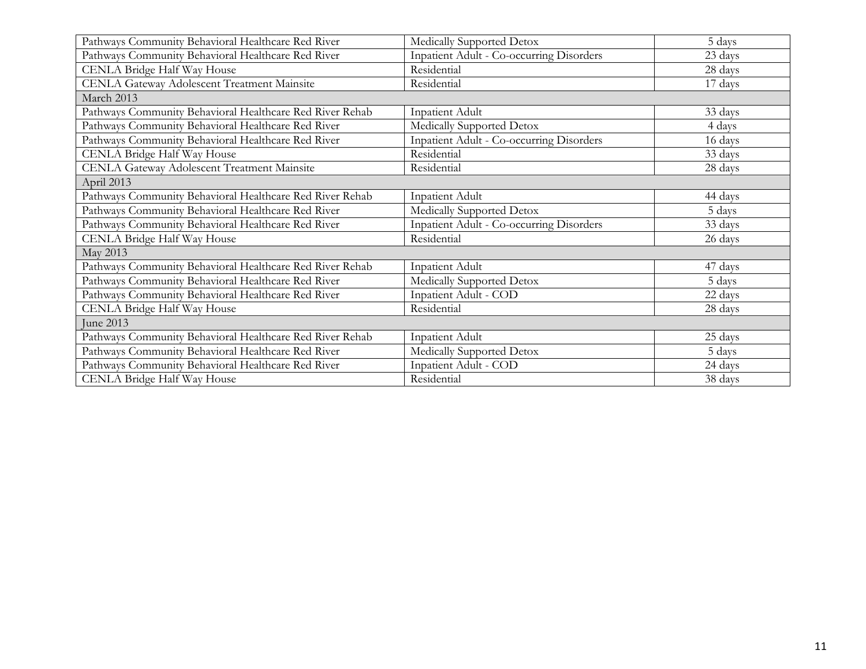| Pathways Community Behavioral Healthcare Red River       | Medically Supported Detox                       | 5 days  |
|----------------------------------------------------------|-------------------------------------------------|---------|
| Pathways Community Behavioral Healthcare Red River       | <b>Inpatient Adult - Co-occurring Disorders</b> | 23 days |
| CENLA Bridge Half Way House                              | Residential                                     | 28 days |
| CENLA Gateway Adolescent Treatment Mainsite              | Residential                                     | 17 days |
| March 2013                                               |                                                 |         |
| Pathways Community Behavioral Healthcare Red River Rehab | Inpatient Adult                                 | 33 days |
| Pathways Community Behavioral Healthcare Red River       | Medically Supported Detox                       | 4 days  |
| Pathways Community Behavioral Healthcare Red River       | <b>Inpatient Adult - Co-occurring Disorders</b> | 16 days |
| CENLA Bridge Half Way House                              | Residential                                     | 33 days |
| CENLA Gateway Adolescent Treatment Mainsite              | Residential                                     | 28 days |
| April 2013                                               |                                                 |         |
| Pathways Community Behavioral Healthcare Red River Rehab | Inpatient Adult                                 | 44 days |
| Pathways Community Behavioral Healthcare Red River       | Medically Supported Detox                       | 5 days  |
| Pathways Community Behavioral Healthcare Red River       | <b>Inpatient Adult - Co-occurring Disorders</b> | 33 days |
| CENLA Bridge Half Way House                              | Residential                                     | 26 days |
| May 2013                                                 |                                                 |         |
| Pathways Community Behavioral Healthcare Red River Rehab | Inpatient Adult                                 | 47 days |
| Pathways Community Behavioral Healthcare Red River       | Medically Supported Detox                       | 5 days  |
| Pathways Community Behavioral Healthcare Red River       | Inpatient Adult - COD                           | 22 days |
| CENLA Bridge Half Way House                              | Residential                                     | 28 days |
| June 2013                                                |                                                 |         |
| Pathways Community Behavioral Healthcare Red River Rehab | Inpatient Adult                                 | 25 days |
| Pathways Community Behavioral Healthcare Red River       | Medically Supported Detox                       | 5 days  |
| Pathways Community Behavioral Healthcare Red River       | Inpatient Adult - COD                           | 24 days |
| CENLA Bridge Half Way House                              | Residential                                     | 38 days |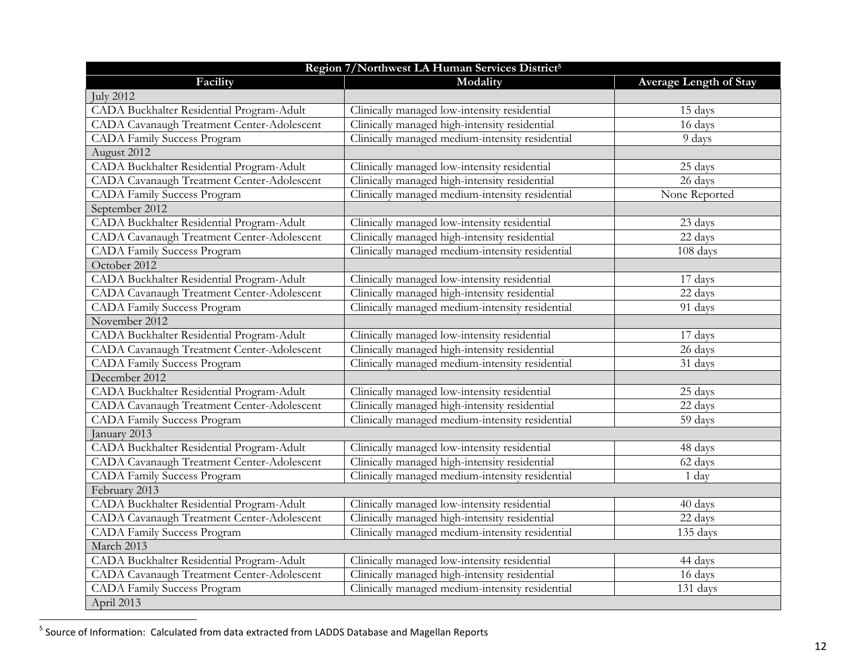| Region 7/Northwest LA Human Services District <sup>5</sup> |                                                 |                               |  |  |  |  |
|------------------------------------------------------------|-------------------------------------------------|-------------------------------|--|--|--|--|
| Facility                                                   | Modality                                        | <b>Average Length of Stay</b> |  |  |  |  |
| <b>July 2012</b>                                           |                                                 |                               |  |  |  |  |
| CADA Buckhalter Residential Program-Adult                  | Clinically managed low-intensity residential    | 15 days                       |  |  |  |  |
| CADA Cavanaugh Treatment Center-Adolescent                 | Clinically managed high-intensity residential   | 16 days                       |  |  |  |  |
| <b>CADA Family Success Program</b>                         | Clinically managed medium-intensity residential | 9 days                        |  |  |  |  |
| August 2012                                                |                                                 |                               |  |  |  |  |
| CADA Buckhalter Residential Program-Adult                  | Clinically managed low-intensity residential    | 25 days                       |  |  |  |  |
| CADA Cavanaugh Treatment Center-Adolescent                 | Clinically managed high-intensity residential   | 26 days                       |  |  |  |  |
| <b>CADA Family Success Program</b>                         | Clinically managed medium-intensity residential | None Reported                 |  |  |  |  |
| September 2012                                             |                                                 |                               |  |  |  |  |
| CADA Buckhalter Residential Program-Adult                  | Clinically managed low-intensity residential    | 23 days                       |  |  |  |  |
| CADA Cavanaugh Treatment Center-Adolescent                 | Clinically managed high-intensity residential   | 22 days                       |  |  |  |  |
| <b>CADA Family Success Program</b>                         | Clinically managed medium-intensity residential | 108 days                      |  |  |  |  |
| October 2012                                               |                                                 |                               |  |  |  |  |
| CADA Buckhalter Residential Program-Adult                  | Clinically managed low-intensity residential    | 17 days                       |  |  |  |  |
| CADA Cavanaugh Treatment Center-Adolescent                 | Clinically managed high-intensity residential   | 22 days                       |  |  |  |  |
| <b>CADA Family Success Program</b>                         | Clinically managed medium-intensity residential | 91 days                       |  |  |  |  |
| November 2012                                              |                                                 |                               |  |  |  |  |
| CADA Buckhalter Residential Program-Adult                  | Clinically managed low-intensity residential    | 17 days                       |  |  |  |  |
| CADA Cavanaugh Treatment Center-Adolescent                 | Clinically managed high-intensity residential   | 26 days                       |  |  |  |  |
| <b>CADA Family Success Program</b>                         | Clinically managed medium-intensity residential | 31 days                       |  |  |  |  |
| December 2012                                              |                                                 |                               |  |  |  |  |
| CADA Buckhalter Residential Program-Adult                  | Clinically managed low-intensity residential    | 25 days                       |  |  |  |  |
| CADA Cavanaugh Treatment Center-Adolescent                 | Clinically managed high-intensity residential   | 22 days                       |  |  |  |  |
| <b>CADA Family Success Program</b>                         | Clinically managed medium-intensity residential | 59 days                       |  |  |  |  |
| January 2013                                               |                                                 |                               |  |  |  |  |
| CADA Buckhalter Residential Program-Adult                  | Clinically managed low-intensity residential    | 48 days                       |  |  |  |  |
| CADA Cavanaugh Treatment Center-Adolescent                 | Clinically managed high-intensity residential   | 62 days                       |  |  |  |  |
| CADA Family Success Program                                | Clinically managed medium-intensity residential | 1 day                         |  |  |  |  |
| February 2013                                              |                                                 |                               |  |  |  |  |
| CADA Buckhalter Residential Program-Adult                  | Clinically managed low-intensity residential    | 40 days                       |  |  |  |  |
| CADA Cavanaugh Treatment Center-Adolescent                 | Clinically managed high-intensity residential   | 22 days                       |  |  |  |  |
| <b>CADA Family Success Program</b>                         | Clinically managed medium-intensity residential | 135 days                      |  |  |  |  |
| March 2013                                                 |                                                 |                               |  |  |  |  |
| CADA Buckhalter Residential Program-Adult                  | Clinically managed low-intensity residential    | 44 days                       |  |  |  |  |
| <b>CADA Cavanaugh Treatment Center-Adolescent</b>          | Clinically managed high-intensity residential   | 16 days                       |  |  |  |  |
| <b>CADA Family Success Program</b>                         | Clinically managed medium-intensity residential | 131 days                      |  |  |  |  |
| April 2013                                                 |                                                 |                               |  |  |  |  |

 5 Source of Information: Calculated from data extracted from LADDS Database and Magellan Reports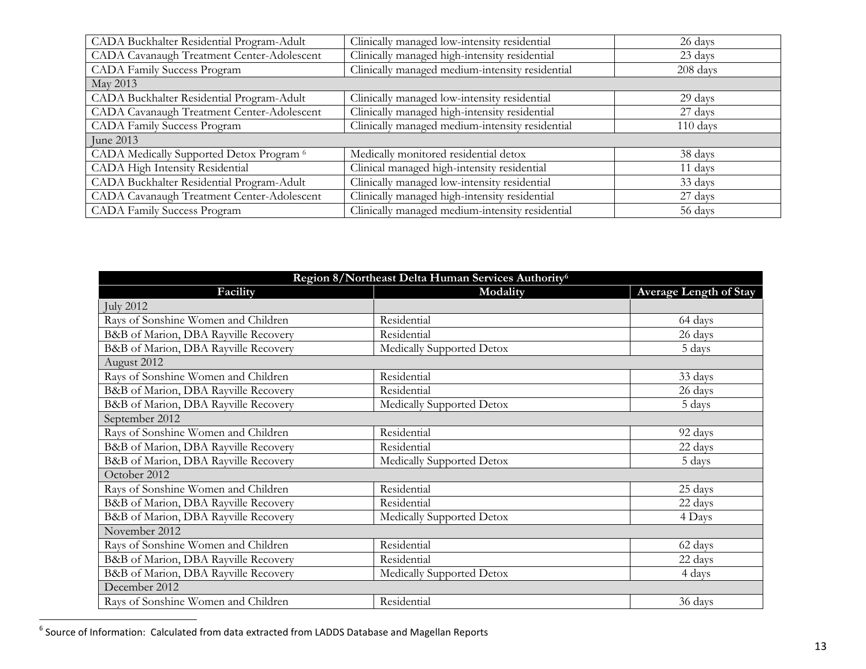| CADA Buckhalter Residential Program-Adult  | Clinically managed low-intensity residential    | 26 days  |
|--------------------------------------------|-------------------------------------------------|----------|
| CADA Cavanaugh Treatment Center-Adolescent | Clinically managed high-intensity residential   | 23 days  |
| <b>CADA Family Success Program</b>         | Clinically managed medium-intensity residential | 208 days |
| May 2013                                   |                                                 |          |
| CADA Buckhalter Residential Program-Adult  | Clinically managed low-intensity residential    | 29 days  |
| CADA Cavanaugh Treatment Center-Adolescent | Clinically managed high-intensity residential   | 27 days  |
| <b>CADA Family Success Program</b>         | Clinically managed medium-intensity residential | 110 days |
| June 2013                                  |                                                 |          |
| CADA Medically Supported Detox Program 6   | Medically monitored residential detox           | 38 days  |
| CADA High Intensity Residential            | Clinical managed high-intensity residential     | 11 days  |
| CADA Buckhalter Residential Program-Adult  | Clinically managed low-intensity residential    | 33 days  |
| CADA Cavanaugh Treatment Center-Adolescent | Clinically managed high-intensity residential   | 27 days  |
| <b>CADA Family Success Program</b>         | Clinically managed medium-intensity residential | 56 days  |

| Region 8/Northeast Delta Human Services Authority <sup>6</sup> |                           |                               |  |  |
|----------------------------------------------------------------|---------------------------|-------------------------------|--|--|
| Facility                                                       | Modality                  | <b>Average Length of Stay</b> |  |  |
| July 2012                                                      |                           |                               |  |  |
| Rays of Sonshine Women and Children                            | Residential               | 64 days                       |  |  |
| B&B of Marion, DBA Rayville Recovery                           | Residential               | 26 days                       |  |  |
| B&B of Marion, DBA Rayville Recovery                           | Medically Supported Detox | 5 days                        |  |  |
| August 2012                                                    |                           |                               |  |  |
| Rays of Sonshine Women and Children                            | Residential               | 33 days                       |  |  |
| B&B of Marion, DBA Rayville Recovery                           | Residential               | 26 days                       |  |  |
| B&B of Marion, DBA Rayville Recovery                           | Medically Supported Detox | 5 days                        |  |  |
| September 2012                                                 |                           |                               |  |  |
| Rays of Sonshine Women and Children                            | Residential               | 92 days                       |  |  |
| B&B of Marion, DBA Rayville Recovery                           | Residential               | 22 days                       |  |  |
| B&B of Marion, DBA Rayville Recovery                           | Medically Supported Detox | 5 days                        |  |  |
| October 2012                                                   |                           |                               |  |  |
| Rays of Sonshine Women and Children                            | Residential               | 25 days                       |  |  |
| B&B of Marion, DBA Rayville Recovery                           | Residential               | 22 days                       |  |  |
| B&B of Marion, DBA Rayville Recovery                           | Medically Supported Detox | 4 Days                        |  |  |
| November 2012                                                  |                           |                               |  |  |
| Rays of Sonshine Women and Children                            | Residential               | 62 days                       |  |  |
| B&B of Marion, DBA Rayville Recovery                           | Residential               | 22 days                       |  |  |
| B&B of Marion, DBA Rayville Recovery                           | Medically Supported Detox | 4 days                        |  |  |
| December 2012                                                  |                           |                               |  |  |
| Rays of Sonshine Women and Children                            | Residential               | 36 days                       |  |  |

 6 Source of Information: Calculated from data extracted from LADDS Database and Magellan Reports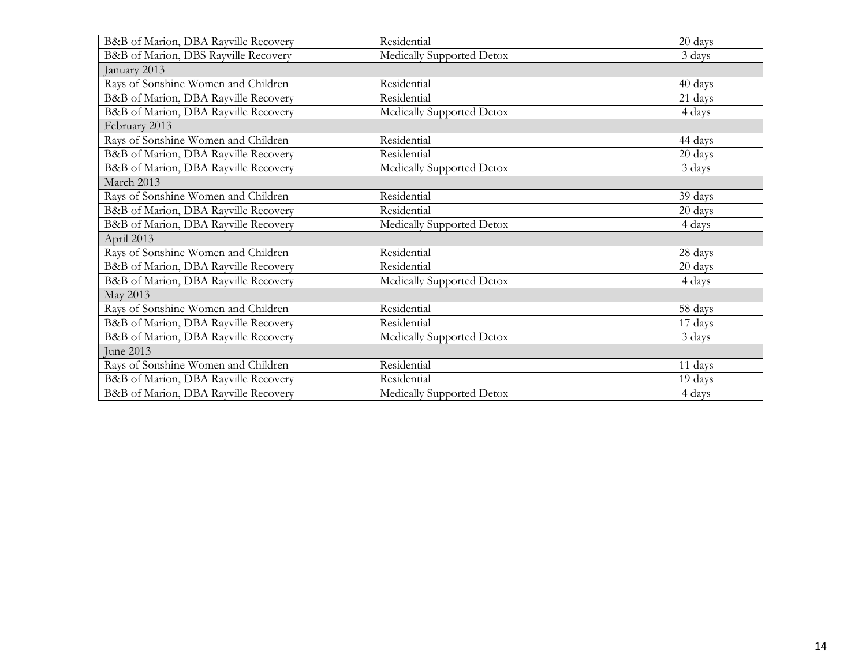| B&B of Marion, DBA Rayville Recovery | Residential               | 20 days |
|--------------------------------------|---------------------------|---------|
| B&B of Marion, DBS Rayville Recovery | Medically Supported Detox | 3 days  |
| January 2013                         |                           |         |
| Rays of Sonshine Women and Children  | Residential               | 40 days |
| B&B of Marion, DBA Rayville Recovery | Residential               | 21 days |
| B&B of Marion, DBA Rayville Recovery | Medically Supported Detox | 4 days  |
| February 2013                        |                           |         |
| Rays of Sonshine Women and Children  | Residential               | 44 days |
| B&B of Marion, DBA Rayville Recovery | Residential               | 20 days |
| B&B of Marion, DBA Rayville Recovery | Medically Supported Detox | 3 days  |
| March 2013                           |                           |         |
| Rays of Sonshine Women and Children  | Residential               | 39 days |
| B&B of Marion, DBA Rayville Recovery | Residential               | 20 days |
| B&B of Marion, DBA Rayville Recovery | Medically Supported Detox | 4 days  |
| April 2013                           |                           |         |
| Rays of Sonshine Women and Children  | Residential               | 28 days |
| B&B of Marion, DBA Rayville Recovery | Residential               | 20 days |
| B&B of Marion, DBA Rayville Recovery | Medically Supported Detox | 4 days  |
| May 2013                             |                           |         |
| Rays of Sonshine Women and Children  | Residential               | 58 days |
| B&B of Marion, DBA Rayville Recovery | Residential               | 17 days |
| B&B of Marion, DBA Rayville Recovery | Medically Supported Detox | 3 days  |
| June 2013                            |                           |         |
| Rays of Sonshine Women and Children  | Residential               | 11 days |
| B&B of Marion, DBA Rayville Recovery | Residential               | 19 days |
| B&B of Marion, DBA Rayville Recovery | Medically Supported Detox | 4 days  |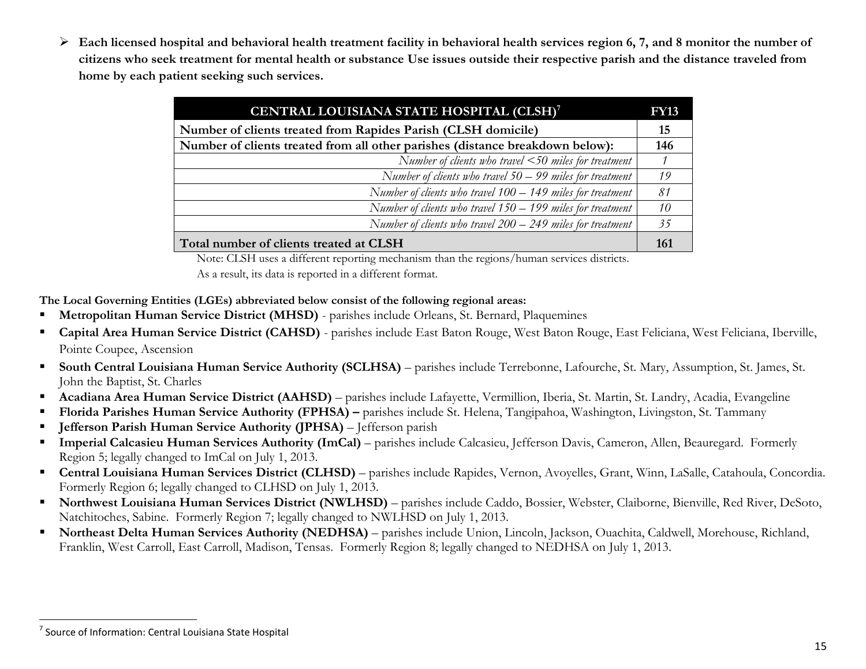**Each licensed hospital and behavioral health treatment facility in behavioral health services region 6, 7, and 8 monitor the number of citizens who seek treatment for mental health or substance Use issues outside their respective parish and the distance traveled from home by each patient seeking such services.** 

| CENTRAL LOUISIANA STATE HOSPITAL (CLSH) <sup>7</sup>                          | <b>FY13</b> |
|-------------------------------------------------------------------------------|-------------|
| Number of clients treated from Rapides Parish (CLSH domicile)                 | 15          |
| Number of clients treated from all other parishes (distance breakdown below): |             |
| Number of clients who travel $\leq 50$ miles for treatment                    |             |
| Number of clients who travel $50 - 99$ miles for treatment                    | 19          |
| Number of clients who travel $100 - 149$ miles for treatment                  | 81          |
| Number of clients who travel $150 - 199$ miles for treatment                  | 10          |
| Number of clients who travel $200 - 249$ miles for treatment                  | 35          |
| Total number of clients treated at CLSH                                       | 161         |

Note: CLSH uses a different reporting mechanism than the regions/human services districts.

As a result, its data is reported in a different format.

**The Local Governing Entities (LGEs) abbreviated below consist of the following regional areas:**

- **Metropolitan Human Service District (MHSD)** parishes include Orleans, St. Bernard, Plaquemines
- **Capital Area Human Service District (CAHSD)** parishes include East Baton Rouge, West Baton Rouge, East Feliciana, West Feliciana, Iberville, Pointe Coupee, Ascension
- **South Central Louisiana Human Service Authority (SCLHSA)** parishes include Terrebonne, Lafourche, St. Mary, Assumption, St. James, St. John the Baptist, St. Charles
- **Acadiana Area Human Service District (AAHSD)** parishes include Lafayette, Vermillion, Iberia, St. Martin, St. Landry, Acadia, Evangeline
- **Florida Parishes Human Service Authority (FPHSA) parishes include St. Helena, Tangipahoa, Washington, Livingston, St. Tammany**
- **Jefferson Parish Human Service Authority (JPHSA)** Jefferson parish
- **Imperial Calcasieu Human Services Authority (ImCal)** parishes include Calcasieu, Jefferson Davis, Cameron, Allen, Beauregard. Formerly Region 5; legally changed to ImCal on July 1, 2013.
- **Central Louisiana Human Services District (CLHSD)** parishes include Rapides, Vernon, Avoyelles, Grant, Winn, LaSalle, Catahoula, Concordia. Formerly Region 6; legally changed to CLHSD on July 1, 2013.
- **Northwest Louisiana Human Services District (NWLHSD)** parishes include Caddo, Bossier, Webster, Claiborne, Bienville, Red River, DeSoto, Natchitoches, Sabine. Formerly Region 7; legally changed to NWLHSD on July 1, 2013.
- **Northeast Delta Human Services Authority (NEDHSA)** parishes include Union, Lincoln, Jackson, Ouachita, Caldwell, Morehouse, Richland, Franklin, West Carroll, East Carroll, Madison, Tensas. Formerly Region 8; legally changed to NEDHSA on July 1, 2013.

<sup>&</sup>lt;sup>7</sup> Source of Information: Central Louisiana State Hospital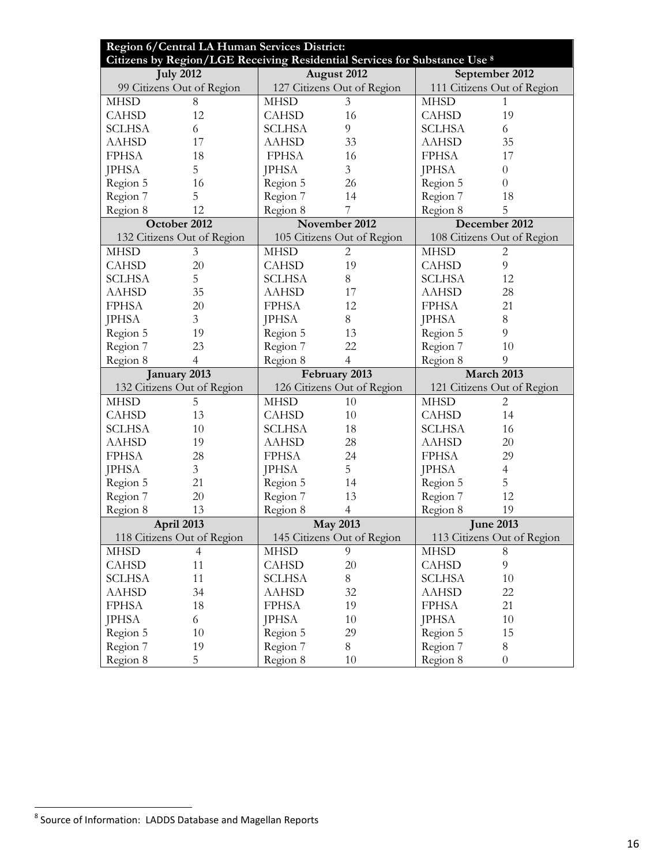|                                                                                               | Region 6/Central LA Human Services District: |               |                            |                                              |                            |  |
|-----------------------------------------------------------------------------------------------|----------------------------------------------|---------------|----------------------------|----------------------------------------------|----------------------------|--|
| Citizens by Region/LGE Receiving Residential Services for Substance Use 8<br><b>July 2012</b> |                                              |               |                            |                                              |                            |  |
|                                                                                               |                                              |               | August 2012                | September 2012<br>111 Citizens Out of Region |                            |  |
|                                                                                               | 99 Citizens Out of Region                    |               | 127 Citizens Out of Region |                                              |                            |  |
| <b>MHSD</b>                                                                                   | 8                                            | <b>MHSD</b>   | 3                          | <b>MHSD</b>                                  | 1                          |  |
| <b>CAHSD</b>                                                                                  | 12                                           | <b>CAHSD</b>  | 16                         | <b>CAHSD</b>                                 | 19                         |  |
| <b>SCLHSA</b>                                                                                 | 6                                            | <b>SCLHSA</b> | 9                          | <b>SCLHSA</b>                                | 6                          |  |
| <b>AAHSD</b>                                                                                  | 17                                           | <b>AAHSD</b>  | 33                         | <b>AAHSD</b>                                 | 35                         |  |
| <b>FPHSA</b>                                                                                  | 18                                           | <b>FPHSA</b>  | 16                         | <b>FPHSA</b>                                 | 17                         |  |
| <b>JPHSA</b>                                                                                  | 5                                            | <b>JPHSA</b>  | $\mathfrak{Z}$             | <b>JPHSA</b>                                 | $\overline{0}$             |  |
| Region 5                                                                                      | 16                                           | Region 5      | 26                         | Region 5                                     | $\overline{0}$             |  |
| Region 7                                                                                      | 5                                            | Region 7      | 14                         | Region 7                                     | 18                         |  |
| Region 8                                                                                      | 12                                           | Region 8      | 7                          | Region 8                                     | 5                          |  |
|                                                                                               | October 2012                                 |               | November 2012              |                                              | December 2012              |  |
|                                                                                               | 132 Citizens Out of Region                   |               | 105 Citizens Out of Region |                                              | 108 Citizens Out of Region |  |
| <b>MHSD</b>                                                                                   | 3                                            | <b>MHSD</b>   | 2                          | <b>MHSD</b>                                  | 2                          |  |
| <b>CAHSD</b>                                                                                  | 20                                           | <b>CAHSD</b>  | 19                         | <b>CAHSD</b>                                 | 9                          |  |
| <b>SCLHSA</b>                                                                                 | 5                                            | <b>SCLHSA</b> | 8                          | <b>SCLHSA</b>                                | 12                         |  |
| <b>AAHSD</b>                                                                                  | 35                                           | <b>AAHSD</b>  | 17                         | <b>AAHSD</b>                                 | 28                         |  |
| <b>FPHSA</b>                                                                                  | 20                                           | <b>FPHSA</b>  | 12                         | <b>FPHSA</b>                                 | 21                         |  |
| <b>JPHSA</b>                                                                                  | $\overline{3}$                               | <b>JPHSA</b>  | 8                          | <b>JPHSA</b>                                 | $8\,$                      |  |
| Region 5                                                                                      | 19                                           | Region 5      | 13                         | Region 5                                     | 9                          |  |
| Region 7                                                                                      | 23                                           | Region 7      | 22                         | Region 7                                     | 10                         |  |
| Region 8                                                                                      | $\overline{4}$                               | Region 8      | $\overline{4}$             | Region 8                                     | 9                          |  |
|                                                                                               | January 2013                                 |               | February 2013              |                                              | March 2013                 |  |
|                                                                                               | 132 Citizens Out of Region                   |               | 126 Citizens Out of Region |                                              | 121 Citizens Out of Region |  |
| <b>MHSD</b>                                                                                   | 5                                            | <b>MHSD</b>   | 10                         | <b>MHSD</b>                                  | $\overline{2}$             |  |
| <b>CAHSD</b>                                                                                  | 13                                           | <b>CAHSD</b>  | 10                         | <b>CAHSD</b>                                 | 14                         |  |
| <b>SCLHSA</b>                                                                                 | 10                                           | <b>SCLHSA</b> |                            | <b>SCLHSA</b>                                | 16                         |  |
| <b>AAHSD</b>                                                                                  |                                              |               | 18                         |                                              |                            |  |
|                                                                                               | 19                                           | <b>AAHSD</b>  | 28                         | <b>AAHSD</b>                                 | 20                         |  |
| <b>FPHSA</b>                                                                                  | 28                                           | <b>FPHSA</b>  | 24                         | <b>FPHSA</b>                                 | 29                         |  |
| <b>JPHSA</b>                                                                                  | $\overline{3}$                               | <b>JPHSA</b>  | 5                          | <b>JPHSA</b>                                 | $\overline{4}$             |  |
| Region 5                                                                                      | 21                                           | Region 5      | 14                         | Region 5                                     | 5                          |  |
| Region 7                                                                                      | 20                                           | Region 7      | 13                         | Region 7                                     | 12                         |  |
| Region 8                                                                                      | 13                                           | Region 8      | $\overline{4}$             | Region 8                                     | 19                         |  |
|                                                                                               | April 2013                                   |               | <b>May 2013</b>            |                                              | <b>June 2013</b>           |  |
|                                                                                               | 118 Citizens Out of Region                   |               | 145 Citizens Out of Region |                                              | 113 Citizens Out of Region |  |
| <b>MHSD</b>                                                                                   | $\overline{4}$                               | <b>MHSD</b>   | 9                          | <b>MHSD</b>                                  | 8                          |  |
| <b>CAHSD</b>                                                                                  | 11                                           | <b>CAHSD</b>  | $20\,$                     | <b>CAHSD</b>                                 | 9                          |  |
| <b>SCLHSA</b>                                                                                 | 11                                           | <b>SCLHSA</b> | 8                          | <b>SCLHSA</b>                                | 10                         |  |
| <b>AAHSD</b>                                                                                  | 34                                           | <b>AAHSD</b>  | 32                         | <b>AAHSD</b>                                 | 22                         |  |
| <b>FPHSA</b>                                                                                  | 18                                           | <b>FPHSA</b>  | 19                         | <b>FPHSA</b>                                 | 21                         |  |
| <b>JPHSA</b>                                                                                  | 6                                            | <b>JPHSA</b>  | 10                         | <b>JPHSA</b>                                 | 10                         |  |
| Region 5                                                                                      | $10\,$                                       | Region 5      | 29                         | Region 5                                     | 15                         |  |
| Region 7                                                                                      | 19<br>5                                      | Region 7      | 8                          | Region 7<br>Region 8                         | 8                          |  |

 8 Source of Information: LADDS Database and Magellan Reports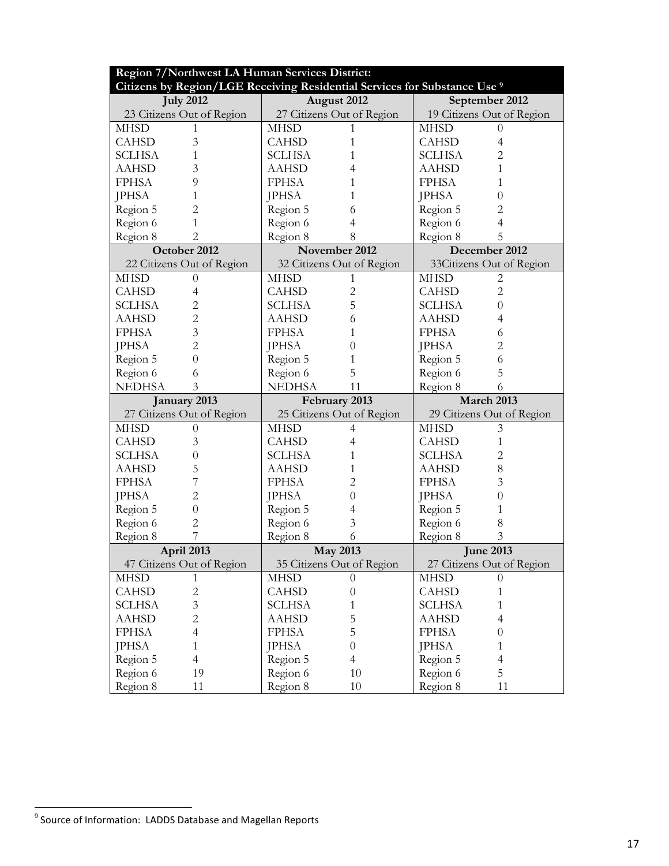| Region 7/Northwest LA Human Services District:                            |                           |                           |  |  |  |  |
|---------------------------------------------------------------------------|---------------------------|---------------------------|--|--|--|--|
| Citizens by Region/LGE Receiving Residential Services for Substance Use 9 |                           |                           |  |  |  |  |
| <b>July 2012</b>                                                          | August 2012               | September 2012            |  |  |  |  |
| 23 Citizens Out of Region                                                 | 27 Citizens Out of Region | 19 Citizens Out of Region |  |  |  |  |
| <b>MHSD</b>                                                               | <b>MHSD</b>               | <b>MHSD</b>               |  |  |  |  |
| 1                                                                         | 1                         | $\theta$                  |  |  |  |  |
| 3                                                                         | $\mathbf{1}$              | <b>CAHSD</b>              |  |  |  |  |
| <b>CAHSD</b>                                                              | <b>CAHSD</b>              | 4                         |  |  |  |  |
| 1                                                                         | 1                         | $\overline{2}$            |  |  |  |  |
| <b>SCLHSA</b>                                                             | <b>SCLHSA</b>             | <b>SCLHSA</b>             |  |  |  |  |
| 3                                                                         | <b>AAHSD</b>              | <b>AAHSD</b>              |  |  |  |  |
| <b>AAHSD</b>                                                              | 4                         | 1                         |  |  |  |  |
| 9                                                                         | <b>FPHSA</b>              | <b>FPHSA</b>              |  |  |  |  |
| <b>FPHSA</b>                                                              | 1                         | 1                         |  |  |  |  |
| <b>JPHSA</b>                                                              | <b>JPHSA</b>              | <b>JPHSA</b>              |  |  |  |  |
| 1                                                                         | 1                         | 0                         |  |  |  |  |
| $\overline{c}$                                                            | Region 5                  | 2                         |  |  |  |  |
| Region 5                                                                  | 6                         | Region 5                  |  |  |  |  |
| Region 6                                                                  | Region 6                  | Region 6                  |  |  |  |  |
| 1                                                                         | 4                         | $\overline{4}$            |  |  |  |  |
| $\overline{2}$                                                            | Region 8                  | 5                         |  |  |  |  |
| Region 8                                                                  | 8                         | Region 8                  |  |  |  |  |
| October 2012                                                              | November 2012             | December 2012             |  |  |  |  |
| 22 Citizens Out of Region                                                 | 32 Citizens Out of Region | 33Citizens Out of Region  |  |  |  |  |
| <b>MHSD</b>                                                               | <b>MHSD</b>               | <b>MHSD</b>               |  |  |  |  |
| $\Omega$                                                                  | 1                         | 2                         |  |  |  |  |
| <b>CAHSD</b>                                                              | $\overline{c}$            | $\overline{2}$            |  |  |  |  |
| 4                                                                         | <b>CAHSD</b>              | <b>CAHSD</b>              |  |  |  |  |
| $\overline{c}$                                                            | 5                         | $\overline{0}$            |  |  |  |  |
| <b>SCLHSA</b>                                                             | <b>SCLHSA</b>             | <b>SCLHSA</b>             |  |  |  |  |
| $\overline{c}$                                                            | 6                         | <b>AAHSD</b>              |  |  |  |  |
| <b>AAHSD</b>                                                              | <b>AAHSD</b>              | 4                         |  |  |  |  |
| 3                                                                         | <b>FPHSA</b>              | <b>FPHSA</b>              |  |  |  |  |
| <b>FPHSA</b>                                                              | 1                         | 6                         |  |  |  |  |
| $\overline{c}$                                                            | <b>JPHSA</b>              | $\overline{c}$            |  |  |  |  |
| <b>JPHSA</b>                                                              | $\theta$                  | <b>JPHSA</b>              |  |  |  |  |
| Region 5                                                                  | Region 5                  | Region 5                  |  |  |  |  |
| $\theta$                                                                  | 1                         | 6                         |  |  |  |  |
| Region 6                                                                  | 5                         | 5                         |  |  |  |  |
| 6                                                                         | Region 6                  | Region 6                  |  |  |  |  |
| <b>NEDHSA</b>                                                             | <b>NEDHSA</b>             | Region 8                  |  |  |  |  |
| 3                                                                         | 11                        | 6                         |  |  |  |  |
| January 2013                                                              | February 2013             | <b>March 2013</b>         |  |  |  |  |
| 27 Citizens Out of Region                                                 | 25 Citizens Out of Region | 29 Citizens Out of Region |  |  |  |  |
| <b>MHSD</b>                                                               | <b>MHSD</b>               | <b>MHSD</b>               |  |  |  |  |
| $\Omega$                                                                  | 4                         | 3                         |  |  |  |  |
| 3                                                                         | <b>CAHSD</b>              | <b>CAHSD</b>              |  |  |  |  |
| <b>CAHSD</b>                                                              | 4                         | 1                         |  |  |  |  |
| <b>SCLHSA</b>                                                             | 1                         | 2                         |  |  |  |  |
| $\theta$                                                                  | <b>SCLHSA</b>             | <b>SCLHSA</b>             |  |  |  |  |
| 5                                                                         | 1                         | 8                         |  |  |  |  |
| <b>AAHSD</b>                                                              | <b>AAHSD</b>              | <b>AAHSD</b>              |  |  |  |  |
| 7                                                                         | $\overline{2}$            | 3                         |  |  |  |  |
| <b>FPHSA</b>                                                              | <b>FPHSA</b>              | <b>FPHSA</b>              |  |  |  |  |
| $\overline{c}$                                                            | $\overline{0}$            | $\overline{0}$            |  |  |  |  |
| <b>JPHSA</b>                                                              | <b>JPHSA</b>              | <b>JPHSA</b>              |  |  |  |  |
| Region 5                                                                  | Region 5                  | Region 5                  |  |  |  |  |
| $\overline{0}$                                                            | 4                         | 1                         |  |  |  |  |
| Region 6                                                                  | 3                         | Region 6                  |  |  |  |  |
| $\overline{c}$                                                            | Region 6                  | 8                         |  |  |  |  |
| 7                                                                         | Region 8                  | 3                         |  |  |  |  |
| Region 8                                                                  | 6                         | Region 8                  |  |  |  |  |
| April 2013                                                                | <b>May 2013</b>           | <b>June 2013</b>          |  |  |  |  |
| 47 Citizens Out of Region                                                 | 35 Citizens Out of Region | 27 Citizens Out of Region |  |  |  |  |
| <b>MHSD</b>                                                               | <b>MHSD</b>               | <b>MHSD</b>               |  |  |  |  |
| 1                                                                         | $\theta$                  | 0                         |  |  |  |  |
| $\mathbf{2}$                                                              | <b>CAHSD</b>              | <b>CAHSD</b>              |  |  |  |  |
| <b>CAHSD</b>                                                              | $\theta$                  | $\mathbf{1}$              |  |  |  |  |
| <b>SCLHSA</b>                                                             | <b>SCLHSA</b>             | <b>SCLHSA</b>             |  |  |  |  |
| $\mathfrak{Z}$                                                            | 1                         | 1                         |  |  |  |  |
| <b>AAHSD</b>                                                              | 5                         | <b>AAHSD</b>              |  |  |  |  |
| $\overline{c}$                                                            | <b>AAHSD</b>              | $\overline{4}$            |  |  |  |  |
| $\overline{4}$                                                            | 5                         | <b>FPHSA</b>              |  |  |  |  |
| <b>FPHSA</b>                                                              | <b>FPHSA</b>              | $\theta$                  |  |  |  |  |
| $\mathbf{1}$                                                              | <b>JPHSA</b>              | $\mathbf{1}$              |  |  |  |  |
| <b>JPHSA</b>                                                              | $\theta$                  | <b>JPHSA</b>              |  |  |  |  |
| Region 5                                                                  | Region 5                  | Region 5                  |  |  |  |  |
| $\overline{4}$                                                            | $\overline{4}$            | $\overline{4}$            |  |  |  |  |
| Region 6                                                                  | Region 6                  | 5                         |  |  |  |  |
| 19                                                                        | 10                        | Region 6                  |  |  |  |  |
| Region 8                                                                  | Region 8                  | Region 8                  |  |  |  |  |
| 11                                                                        | $10\,$                    | 11                        |  |  |  |  |

 9 Source of Information: LADDS Database and Magellan Reports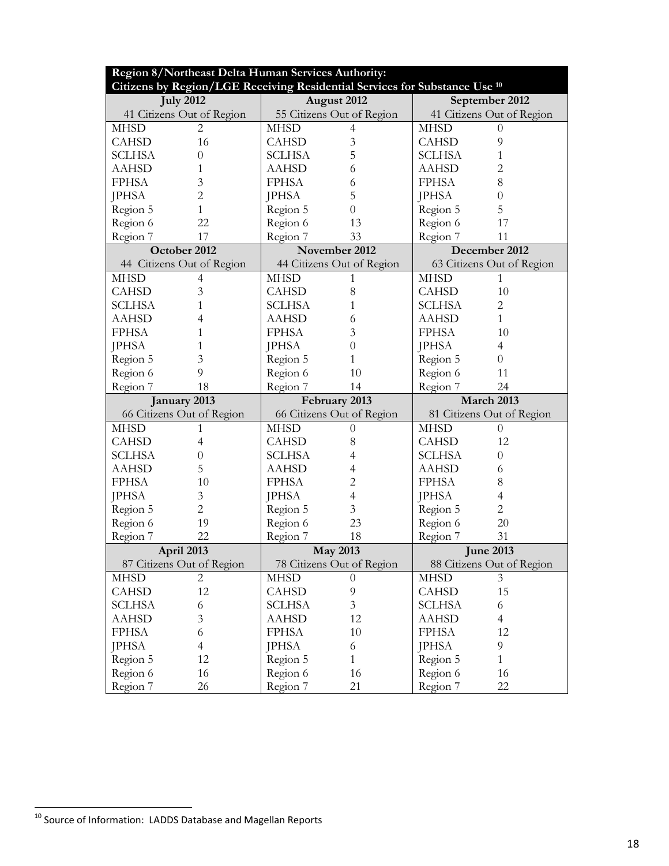| Region 8/Northeast Delta Human Services Authority:<br>Citizens by Region/LGE Receiving Residential Services for Substance Use 10 |                |               |                           |                           |                           |  |
|----------------------------------------------------------------------------------------------------------------------------------|----------------|---------------|---------------------------|---------------------------|---------------------------|--|
| <b>July 2012</b><br>August 2012<br>September 2012                                                                                |                |               |                           |                           |                           |  |
| 41 Citizens Out of Region                                                                                                        |                |               | 55 Citizens Out of Region | 41 Citizens Out of Region |                           |  |
| <b>MHSD</b>                                                                                                                      | $\overline{2}$ | <b>MHSD</b>   | 4                         | <b>MHSD</b>               | $\theta$                  |  |
| <b>CAHSD</b>                                                                                                                     | 16             | <b>CAHSD</b>  | 3                         | <b>CAHSD</b>              | 9                         |  |
| <b>SCLHSA</b>                                                                                                                    | $\theta$       | <b>SCLHSA</b> | 5                         | <b>SCLHSA</b>             | 1                         |  |
| <b>AAHSD</b>                                                                                                                     | 1              | <b>AAHSD</b>  | 6                         | <b>AAHSD</b>              | $\overline{2}$            |  |
| <b>FPHSA</b>                                                                                                                     | 3              | <b>FPHSA</b>  | 6                         | <b>FPHSA</b>              | 8                         |  |
| <b>JPHSA</b>                                                                                                                     | $\overline{2}$ | <b>JPHSA</b>  | 5                         | <b>JPHSA</b>              | $\overline{0}$            |  |
| Region 5                                                                                                                         | 1              | Region 5      | $\overline{0}$            | Region 5                  | 5                         |  |
| Region 6                                                                                                                         | 22             | Region 6      | 13                        | Region 6                  | 17                        |  |
| Region 7                                                                                                                         | 17             | Region 7      | 33                        | Region 7                  | 11                        |  |
| October 2012                                                                                                                     |                |               | November 2012             |                           | December 2012             |  |
| 44 Citizens Out of Region                                                                                                        |                |               | 44 Citizens Out of Region |                           | 63 Citizens Out of Region |  |
| <b>MHSD</b>                                                                                                                      | 4              | <b>MHSD</b>   | 1                         | <b>MHSD</b>               | 1                         |  |
| <b>CAHSD</b>                                                                                                                     | 3              | <b>CAHSD</b>  | 8                         | <b>CAHSD</b>              | 10                        |  |
| <b>SCLHSA</b>                                                                                                                    | 1              | SCLHSA        | 1                         | <b>SCLHSA</b>             | $\overline{2}$            |  |
| <b>AAHSD</b>                                                                                                                     | 4              | <b>AAHSD</b>  | 6                         | <b>AAHSD</b>              | 1                         |  |
| <b>FPHSA</b>                                                                                                                     | 1              | <b>FPHSA</b>  | 3                         | <b>FPHSA</b>              | 10                        |  |
| <b>JPHSA</b>                                                                                                                     | 1              | <b>JPHSA</b>  | $\overline{0}$            | <b>JPHSA</b>              | $\overline{4}$            |  |
| Region 5                                                                                                                         | 3              | Region 5      | 1                         | Region 5                  | $\Omega$                  |  |
| Region 6                                                                                                                         | 9              | Region 6      | 10                        | Region 6                  | 11                        |  |
| Region 7                                                                                                                         | 18             | Region 7      | 14                        | Region 7                  | 24                        |  |
| January 2013                                                                                                                     |                |               | February 2013             |                           | March 2013                |  |
| 66 Citizens Out of Region                                                                                                        |                |               | 66 Citizens Out of Region |                           | 81 Citizens Out of Region |  |
| <b>MHSD</b>                                                                                                                      | 1              | <b>MHSD</b>   | $\theta$                  | <b>MHSD</b>               | 0                         |  |
| <b>CAHSD</b>                                                                                                                     | 4              | <b>CAHSD</b>  | 8                         | <b>CAHSD</b>              | 12                        |  |
| <b>SCLHSA</b>                                                                                                                    | $\overline{0}$ | <b>SCLHSA</b> | 4                         | <b>SCLHSA</b>             | $\overline{0}$            |  |
| <b>AAHSD</b>                                                                                                                     | 5              | <b>AAHSD</b>  | 4                         | <b>AAHSD</b>              | 6                         |  |
| <b>FPHSA</b>                                                                                                                     | 10             | <b>FPHSA</b>  | $\overline{c}$            | <b>FPHSA</b>              | 8                         |  |
| <b>JPHSA</b>                                                                                                                     | 3              | <b>JPHSA</b>  | 4                         | <b>JPHSA</b>              | 4                         |  |
| Region 5                                                                                                                         | $\overline{2}$ | Region 5      | $\overline{3}$            | Region 5                  | $\overline{2}$            |  |
| Region 6                                                                                                                         | 19             | Region 6      | 23                        | Region 6                  | 20                        |  |
| Region 7                                                                                                                         | 22             | Region 7      | 18                        | Region 7                  | 31                        |  |
| April 2013                                                                                                                       |                |               | <b>May 2013</b>           |                           | <b>June 2013</b>          |  |
| 87 Citizens Out of Region                                                                                                        |                |               | 78 Citizens Out of Region |                           | 88 Citizens Out of Region |  |
| <b>MHSD</b>                                                                                                                      | 2              | <b>MHSD</b>   | 0                         | <b>MHSD</b>               | 3                         |  |
| <b>CAHSD</b>                                                                                                                     | 12             | <b>CAHSD</b>  | $\mathfrak{g}$            | <b>CAHSD</b>              | 15                        |  |
| SCLHSA                                                                                                                           | 6              | SCLHSA        | $\mathfrak{Z}$            | <b>SCLHSA</b>             | 6                         |  |
| <b>AAHSD</b>                                                                                                                     | 3              | <b>AAHSD</b>  | 12                        | <b>AAHSD</b>              | $\overline{4}$            |  |
| <b>FPHSA</b>                                                                                                                     | 6              | <b>FPHSA</b>  | 10                        | <b>FPHSA</b>              | 12                        |  |
| <b>JPHSA</b>                                                                                                                     | $\overline{4}$ | <b>JPHSA</b>  | 6                         | <b>JPHSA</b>              | 9                         |  |
| Region 5                                                                                                                         | 12             | Region 5      | $\mathbf{1}$              | Region 5                  | $\mathbf{1}$              |  |
| Region 6                                                                                                                         | 16             | Region 6      | 16                        | Region 6                  | 16                        |  |
| Region 7                                                                                                                         | 26             | Region 7      | 21                        | Region 7                  | 22                        |  |

<sup>&</sup>lt;sup>10</sup> Source of Information: LADDS Database and Magellan Reports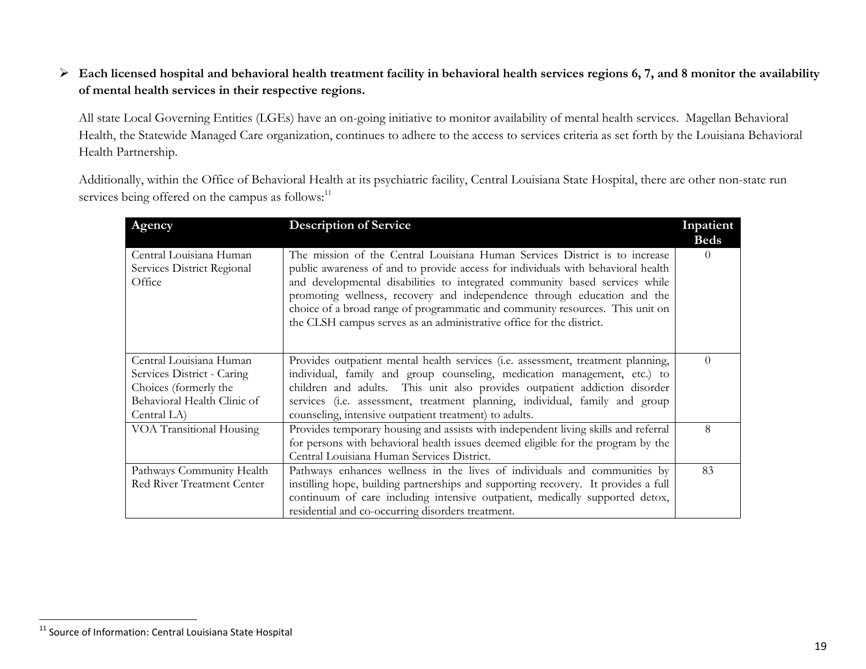## **Each licensed hospital and behavioral health treatment facility in behavioral health services regions 6, 7, and 8 monitor the availability of mental health services in their respective regions.**

All state Local Governing Entities (LGEs) have an on-going initiative to monitor availability of mental health services. Magellan Behavioral Health, the Statewide Managed Care organization, continues to adhere to the access to services criteria as set forth by the Louisiana Behavioral Health Partnership.

Additionally, within the Office of Behavioral Health at its psychiatric facility, Central Louisiana State Hospital, there are other non-state run services being offered on the campus as follows:<sup>11</sup>

| Agency                                                                                                                       | <b>Description of Service</b>                                                                                                                                                                                                                                                                                                                                                                                                                                                      | Inpatient<br><b>Beds</b> |
|------------------------------------------------------------------------------------------------------------------------------|------------------------------------------------------------------------------------------------------------------------------------------------------------------------------------------------------------------------------------------------------------------------------------------------------------------------------------------------------------------------------------------------------------------------------------------------------------------------------------|--------------------------|
| Central Louisiana Human<br>Services District Regional<br>Office                                                              | The mission of the Central Louisiana Human Services District is to increase<br>public awareness of and to provide access for individuals with behavioral health<br>and developmental disabilities to integrated community based services while<br>promoting wellness, recovery and independence through education and the<br>choice of a broad range of programmatic and community resources. This unit on<br>the CLSH campus serves as an administrative office for the district. | $\Omega$                 |
| Central Louisiana Human<br>Services District - Caring<br>Choices (formerly the<br>Behavioral Health Clinic of<br>Central LA) | Provides outpatient mental health services (i.e. assessment, treatment planning,<br>individual, family and group counseling, medication management, etc.) to<br>children and adults. This unit also provides outpatient addiction disorder<br>services (i.e. assessment, treatment planning, individual, family and group<br>counseling, intensive outpatient treatment) to adults.                                                                                                | $\Omega$                 |
| VOA Transitional Housing                                                                                                     | Provides temporary housing and assists with independent living skills and referral<br>for persons with behavioral health issues deemed eligible for the program by the<br>Central Louisiana Human Services District.                                                                                                                                                                                                                                                               | 8                        |
| Pathways Community Health<br><b>Red River Treatment Center</b>                                                               | Pathways enhances wellness in the lives of individuals and communities by<br>instilling hope, building partnerships and supporting recovery. It provides a full<br>continuum of care including intensive outpatient, medically supported detox,<br>residential and co-occurring disorders treatment.                                                                                                                                                                               | 83                       |

 $11$  Source of Information: Central Louisiana State Hospital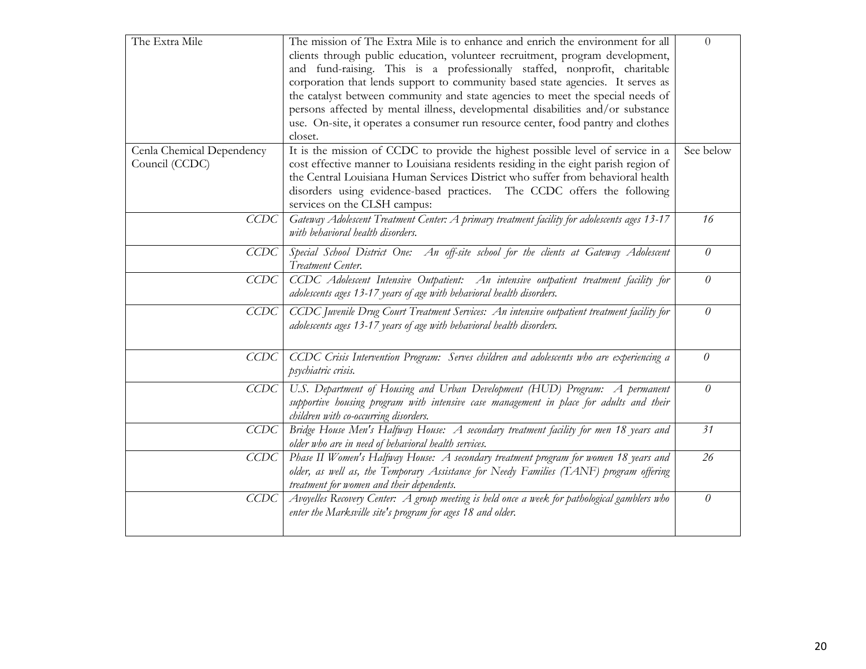| The Extra Mile                              | The mission of The Extra Mile is to enhance and enrich the environment for all<br>clients through public education, volunteer recruitment, program development,<br>and fund-raising. This is a professionally staffed, nonprofit, charitable<br>corporation that lends support to community based state agencies. It serves as<br>the catalyst between community and state agencies to meet the special needs of<br>persons affected by mental illness, developmental disabilities and/or substance<br>use. On-site, it operates a consumer run resource center, food pantry and clothes<br>closet. | $\Omega$  |
|---------------------------------------------|-----------------------------------------------------------------------------------------------------------------------------------------------------------------------------------------------------------------------------------------------------------------------------------------------------------------------------------------------------------------------------------------------------------------------------------------------------------------------------------------------------------------------------------------------------------------------------------------------------|-----------|
| Cenla Chemical Dependency<br>Council (CCDC) | It is the mission of CCDC to provide the highest possible level of service in a<br>cost effective manner to Louisiana residents residing in the eight parish region of<br>the Central Louisiana Human Services District who suffer from behavioral health<br>disorders using evidence-based practices. The CCDC offers the following<br>services on the CLSH campus:                                                                                                                                                                                                                                | See below |
| CCDC                                        | Gateway Adolescent Treatment Center: A primary treatment facility for adolescents ages 13-17<br>with behavioral health disorders.                                                                                                                                                                                                                                                                                                                                                                                                                                                                   | 16        |
| CCDC                                        | Special School District One: An off-site school for the clients at Gateway Adolescent<br>Treatment Center.                                                                                                                                                                                                                                                                                                                                                                                                                                                                                          | $\theta$  |
| CCDC                                        | CCDC Adolescent Intensive Outpatient: An intensive outpatient treatment facility for<br>adolescents ages 13-17 years of age with behavioral health disorders.                                                                                                                                                                                                                                                                                                                                                                                                                                       | $\theta$  |
| CCDC                                        | CCDC Juvenile Drug Court Treatment Services: An intensive outpatient treatment facility for<br>adolescents ages 13-17 years of age with behavioral health disorders.                                                                                                                                                                                                                                                                                                                                                                                                                                | $\theta$  |
| CCDC                                        | CCDC Crisis Intervention Program: Serves children and adolescents who are experiencing a<br>psychiatric crisis.                                                                                                                                                                                                                                                                                                                                                                                                                                                                                     | $\theta$  |
| CCDC                                        | U.S. Department of Housing and Urban Development (HUD) Program: A permanent<br>supportive housing program with intensive case management in place for adults and their<br>children with co-occurring disorders.                                                                                                                                                                                                                                                                                                                                                                                     | $\theta$  |
| CCDC                                        | Bridge House Men's Halfway House: A secondary treatment facility for men 18 years and<br>older who are in need of behavioral health services.                                                                                                                                                                                                                                                                                                                                                                                                                                                       | 31        |
| CCDC                                        | Phase II Women's Halfway House: A secondary treatment program for women 18 years and<br>older, as well as, the Temporary Assistance for Needy Families (TANF) program offering<br>treatment for women and their dependents.                                                                                                                                                                                                                                                                                                                                                                         | 26        |
| CCDC                                        | Avoyelles Recovery Center: A group meeting is held once a week for pathological gamblers who<br>enter the Marksville site's program for ages 18 and older.                                                                                                                                                                                                                                                                                                                                                                                                                                          | 0         |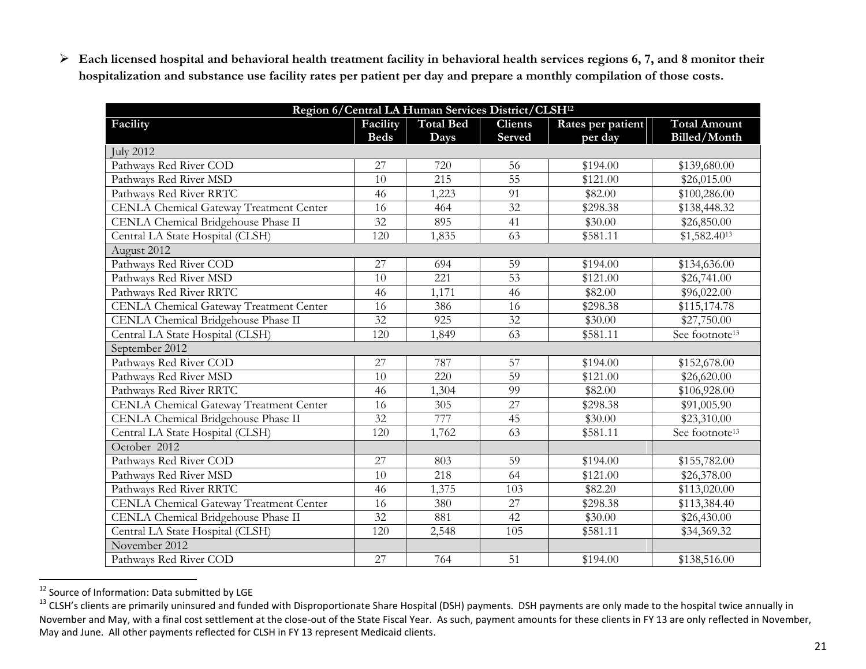**Each licensed hospital and behavioral health treatment facility in behavioral health services regions 6, 7, and 8 monitor their hospitalization and substance use facility rates per patient per day and prepare a monthly compilation of those costs.** 

| Region 6/Central LA Human Services District/CLSH <sup>12</sup> |             |                  |                 |                   |                            |
|----------------------------------------------------------------|-------------|------------------|-----------------|-------------------|----------------------------|
| Facility                                                       | Facility    | <b>Total Bed</b> | <b>Clients</b>  | Rates per patient | <b>Total Amount</b>        |
|                                                                | <b>Beds</b> | Days             | Served          | per day           | <b>Billed/Month</b>        |
| July 2012                                                      |             |                  |                 |                   |                            |
| Pathways Red River COD                                         | 27          | 720              | 56              | \$194.00          | \$139,680.00               |
| Pathways Red River MSD                                         | 10          | 215              | $\overline{55}$ | \$121.00          | \$26,015.00                |
| Pathways Red River RRTC                                        | 46          | 1,223            | 91              | \$82.00           | \$100,286.00               |
| <b>CENLA Chemical Gateway Treatment Center</b>                 | 16          | 464              | 32              | \$298.38          | \$138,448.32               |
| CENLA Chemical Bridgehouse Phase II                            | 32          | 895              | 41              | \$30.00           | \$26,850.00                |
| Central LA State Hospital (CLSH)                               | 120         | 1,835            | $\overline{63}$ | \$581.11          | $$1,582.40^{13}$           |
| August 2012                                                    |             |                  |                 |                   |                            |
| Pathways Red River COD                                         | 27          | 694              | 59              | \$194.00          | \$134,636.00               |
| Pathways Red River MSD                                         | 10          | 221              | $\overline{53}$ | \$121.00          | \$26,741.00                |
| Pathways Red River RRTC                                        | 46          | 1,171            | 46              | \$82.00           | $\overline{$96,022.00}$    |
| CENLA Chemical Gateway Treatment Center                        | 16          | 386              | 16              | \$298.38          | \$115,174.78               |
| CENLA Chemical Bridgehouse Phase II                            | 32          | 925              | 32              | \$30.00           | $\overline{$27,750.00}$    |
| Central LA State Hospital (CLSH)                               | 120         | 1,849            | 63              | \$581.11          | See footnote <sup>13</sup> |
| September 2012                                                 |             |                  |                 |                   |                            |
| Pathways Red River COD                                         | 27          | 787              | 57              | \$194.00          | \$152,678.00               |
| Pathways Red River MSD                                         | 10          | 220              | 59              | \$121.00          | \$26,620.00                |
| Pathways Red River RRTC                                        | 46          | 1,304            | 99              | \$82.00           | $\overline{$106,928.00}$   |
| CENLA Chemical Gateway Treatment Center                        | 16          | 305              | $\overline{27}$ | \$298.38          | \$91,005.90                |
| CENLA Chemical Bridgehouse Phase II                            | 32          | 777              | 45              | \$30.00           | \$23,310.00                |
| Central LA State Hospital (CLSH)                               | 120         | 1,762            | 63              | \$581.11          | See footnote <sup>13</sup> |
| October 2012                                                   |             |                  |                 |                   |                            |
| Pathways Red River COD                                         | 27          | 803              | 59              | \$194.00          | \$155,782.00               |
| Pathways Red River MSD                                         | 10          | 218              | 64              | \$121.00          | \$26,378.00                |
| Pathways Red River RRTC                                        | 46          | 1,375            | 103             | \$82.20           | \$113,020.00               |
| CENLA Chemical Gateway Treatment Center                        | 16          | 380              | 27              | \$298.38          | \$113,384.40               |
| CENLA Chemical Bridgehouse Phase II                            | 32          | 881              | 42              | \$30.00           | \$26,430.00                |
| Central LA State Hospital (CLSH)                               | 120         | 2,548            | 105             | \$581.11          | \$34,369.32                |
| November 2012                                                  |             |                  |                 |                   |                            |
| Pathways Red River COD                                         | 27          | 764              | 51              | \$194.00          | \$138,516.00               |

<sup>&</sup>lt;sup>12</sup> Source of Information: Data submitted by LGE

 $\overline{a}$ 

<sup>&</sup>lt;sup>13</sup> CLSH's clients are primarily uninsured and funded with Disproportionate Share Hospital (DSH) payments. DSH payments are only made to the hospital twice annually in November and May, with a final cost settlement at the close-out of the State Fiscal Year. As such, payment amounts for these clients in FY 13 are only reflected in November, May and June. All other payments reflected for CLSH in FY 13 represent Medicaid clients.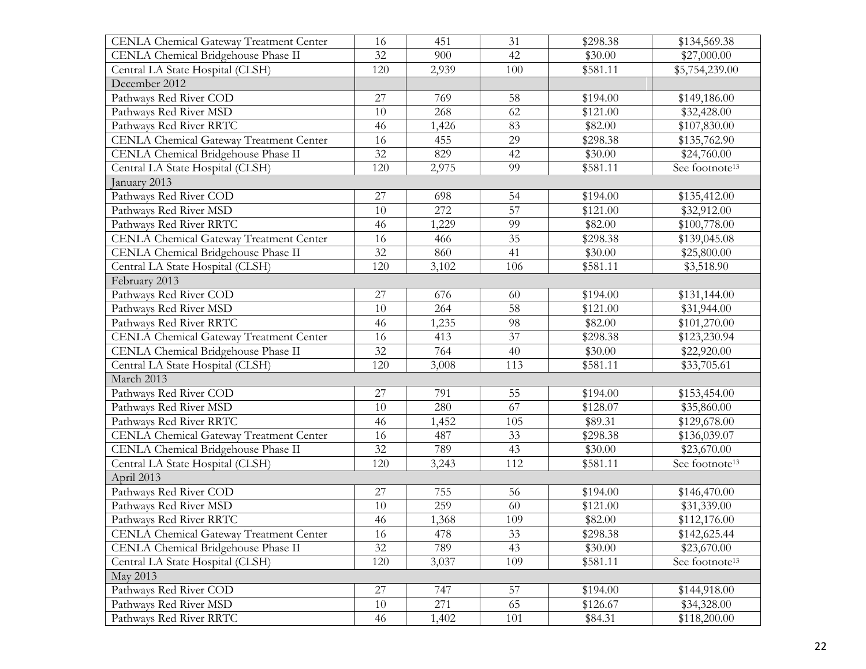| <b>CENLA Chemical Gateway Treatment Center</b> | 16              | 451   | 31              | \$298.38 | \$134,569.38               |
|------------------------------------------------|-----------------|-------|-----------------|----------|----------------------------|
| CENLA Chemical Bridgehouse Phase II            | 32              | 900   | 42              | \$30.00  | \$27,000.00                |
| Central LA State Hospital (CLSH)               | 120             | 2,939 | 100             | \$581.11 | \$5,754,239.00             |
| December 2012                                  |                 |       |                 |          |                            |
| Pathways Red River COD                         | 27              | 769   | 58              | \$194.00 | \$149,186.00               |
| Pathways Red River MSD                         | 10              | 268   | 62              | \$121.00 | \$32,428.00                |
| Pathways Red River RRTC                        | 46              | 1,426 | 83              | \$82.00  | \$107,830.00               |
| <b>CENLA Chemical Gateway Treatment Center</b> | 16              | 455   | 29              | \$298.38 | \$135,762.90               |
| CENLA Chemical Bridgehouse Phase II            | 32              | 829   | 42              | \$30.00  | \$24,760.00                |
| Central LA State Hospital (CLSH)               | 120             | 2,975 | 99              | \$581.11 | See footnote <sup>13</sup> |
| January 2013                                   |                 |       |                 |          |                            |
| Pathways Red River COD                         | 27              | 698   | 54              | \$194.00 | \$135,412.00               |
| Pathways Red River MSD                         | 10              | 272   | 57              | \$121.00 | \$32,912.00                |
| Pathways Red River RRTC                        | 46              | 1,229 | 99              | \$82.00  | \$100,778.00               |
| CENLA Chemical Gateway Treatment Center        | 16              | 466   | 35              | \$298.38 | \$139,045.08               |
| CENLA Chemical Bridgehouse Phase II            | 32              | 860   | 41              | \$30.00  | \$25,800.00                |
| Central LA State Hospital (CLSH)               | 120             | 3,102 | 106             | \$581.11 | \$3,518.90                 |
| February 2013                                  |                 |       |                 |          |                            |
| Pathways Red River COD                         | 27              | 676   | 60              | \$194.00 | \$131,144.00               |
| Pathways Red River MSD                         | 10              | 264   | 58              | \$121.00 | \$31,944.00                |
| Pathways Red River RRTC                        | 46              | 1,235 | 98              | \$82.00  | \$101,270.00               |
| <b>CENLA Chemical Gateway Treatment Center</b> | 16              | 413   | $\overline{37}$ | \$298.38 | \$123,230.94               |
| CENLA Chemical Bridgehouse Phase II            | 32              | 764   | 40              | \$30.00  | \$22,920.00                |
| Central LA State Hospital (CLSH)               | 120             | 3,008 | 113             | \$581.11 | \$33,705.61                |
| March 2013                                     |                 |       |                 |          |                            |
| Pathways Red River COD                         | 27              | 791   | 55              | \$194.00 | \$153,454.00               |
| Pathways Red River MSD                         | 10              | 280   | $\overline{67}$ | \$128.07 | \$35,860.00                |
| Pathways Red River RRTC                        | 46              | 1,452 | 105             | \$89.31  | \$129,678.00               |
| <b>CENLA Chemical Gateway Treatment Center</b> | 16              | 487   | 33              | \$298.38 | \$136,039.07               |
| CENLA Chemical Bridgehouse Phase II            | 32              | 789   | 43              | \$30.00  | \$23,670.00                |
| Central LA State Hospital (CLSH)               | 120             | 3,243 | 112             | \$581.11 | See footnote <sup>13</sup> |
| April 2013                                     |                 |       |                 |          |                            |
| Pathways Red River COD                         | 27              | 755   | 56              | \$194.00 | \$146,470.00               |
| Pathways Red River MSD                         | $\overline{10}$ | 259   | $\overline{60}$ | \$121.00 | \$31,339.00                |
| Pathways Red River RRTC                        | 46              | 1,368 | 109             | \$82.00  | \$112,176.00               |
| <b>CENLA Chemical Gateway Treatment Center</b> | 16              | 478   | 33              | \$298.38 | \$142,625.44               |
| CENLA Chemical Bridgehouse Phase II            | 32              | 789   | 43              | \$30.00  | \$23,670.00                |
| Central LA State Hospital (CLSH)               | 120             | 3,037 | 109             | \$581.11 | See footnote <sup>13</sup> |
| May 2013                                       |                 |       |                 |          |                            |
| Pathways Red River COD                         | 27              | 747   | 57              | \$194.00 | \$144,918.00               |
| Pathways Red River MSD                         | 10              | 271   | 65              | \$126.67 | \$34,328.00                |
| Pathways Red River RRTC                        | 46              | 1,402 | 101             | \$84.31  | \$118,200.00               |
|                                                |                 |       |                 |          |                            |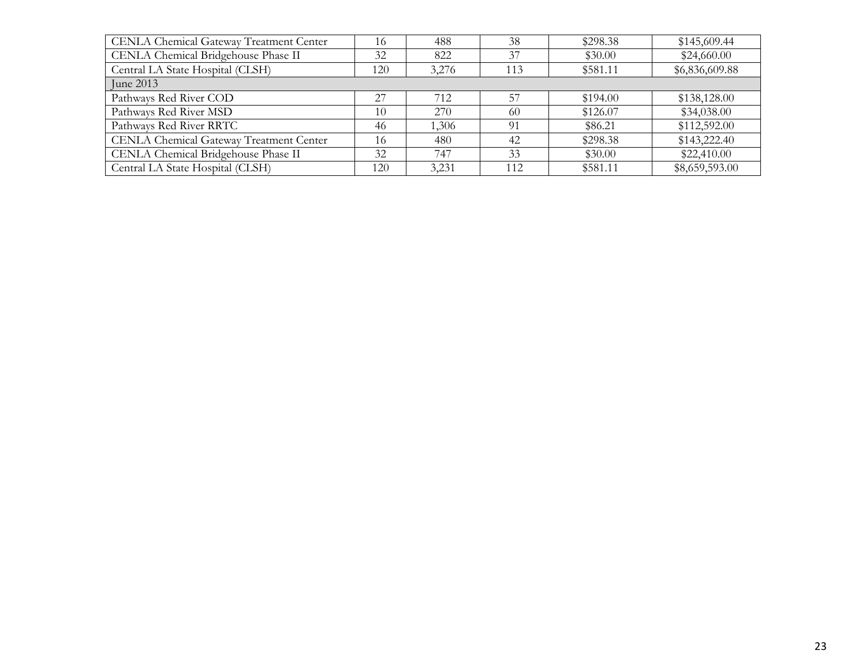| <b>CENLA Chemical Gateway Treatment Center</b> | 16  | 488   | 38  | \$298.38 | \$145,609.44   |
|------------------------------------------------|-----|-------|-----|----------|----------------|
| CENLA Chemical Bridgehouse Phase II            | 32  | 822   | 37  | \$30.00  | \$24,660.00    |
| Central LA State Hospital (CLSH)               | 120 | 3,276 | 113 | \$581.11 | \$6,836,609.88 |
| June 2013                                      |     |       |     |          |                |
| Pathways Red River COD                         | 27  | 712   | 57  | \$194.00 | \$138,128.00   |
| Pathways Red River MSD                         | 10  | 270   | 60  | \$126.07 | \$34,038.00    |
| Pathways Red River RRTC                        | 46  | 1,306 | 91  | \$86.21  | \$112,592.00   |
| <b>CENLA Chemical Gateway Treatment Center</b> | 16  | 480   | 42  | \$298.38 | \$143,222.40   |
| CENLA Chemical Bridgehouse Phase II            | 32  | 747   | 33  | \$30.00  | \$22,410.00    |
| Central LA State Hospital (CLSH)               | 120 | 3,231 | 112 | \$581.11 | \$8,659,593.00 |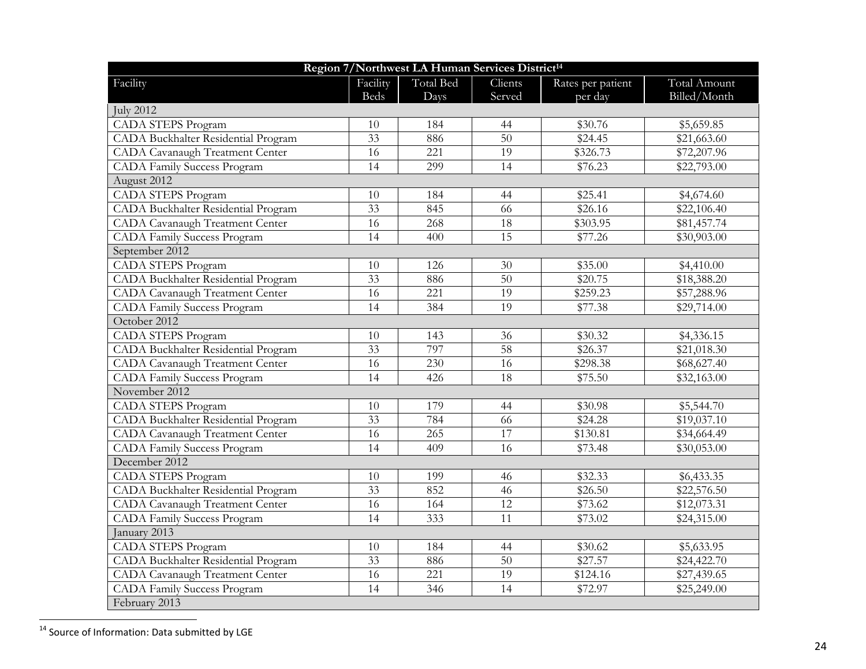| Region 7/Northwest LA Human Services District <sup>14</sup> |                 |                  |                 |                   |                     |  |  |  |
|-------------------------------------------------------------|-----------------|------------------|-----------------|-------------------|---------------------|--|--|--|
| Facility                                                    | Facility        | <b>Total Bed</b> | Clients         | Rates per patient | <b>Total Amount</b> |  |  |  |
|                                                             | <b>Beds</b>     | Days             | Served          | per day           | Billed/Month        |  |  |  |
| <b>July 2012</b>                                            |                 |                  |                 |                   |                     |  |  |  |
| <b>CADA STEPS Program</b>                                   | 10              | 184              | 44              | \$30.76           | \$5,659.85          |  |  |  |
| CADA Buckhalter Residential Program                         | 33              | 886              | $\overline{50}$ | \$24.45           | \$21,663.60         |  |  |  |
| <b>CADA</b> Cavanaugh Treatment Center                      | $\overline{16}$ | 221              | $\overline{19}$ | \$326.73          | \$72,207.96         |  |  |  |
| <b>CADA Family Success Program</b>                          | 14              | 299              | 14              | \$76.23           | \$22,793.00         |  |  |  |
| August 2012                                                 |                 |                  |                 |                   |                     |  |  |  |
| <b>CADA STEPS Program</b>                                   | 10              | 184              | 44              | \$25.41           | \$4,674.60          |  |  |  |
| CADA Buckhalter Residential Program                         | $\overline{33}$ | 845              | 66              | \$26.16           | \$22,106.40         |  |  |  |
| <b>CADA</b> Cavanaugh Treatment Center                      | $\overline{16}$ | 268              | 18              | \$303.95          | \$81,457.74         |  |  |  |
| <b>CADA Family Success Program</b>                          | 14              | 400              | $\overline{15}$ | \$77.26           | \$30,903.00         |  |  |  |
| September 2012                                              |                 |                  |                 |                   |                     |  |  |  |
| <b>CADA STEPS Program</b>                                   | 10              | 126              | $\overline{30}$ | \$35.00           | \$4,410.00          |  |  |  |
| CADA Buckhalter Residential Program                         | $\overline{33}$ | 886              | 50              | \$20.75           | \$18,388.20         |  |  |  |
| <b>CADA</b> Cavanaugh Treatment Center                      | 16              | 221              | 19              | \$259.23          | \$57,288.96         |  |  |  |
| <b>CADA</b> Family Success Program                          | 14              | 384              | 19              | \$77.38           | \$29,714.00         |  |  |  |
| October 2012                                                |                 |                  |                 |                   |                     |  |  |  |
| <b>CADA STEPS Program</b>                                   | 10              | 143              | 36              | \$30.32           | \$4,336.15          |  |  |  |
| CADA Buckhalter Residential Program                         | 33              | 797              | 58              | \$26.37           | \$21,018.30         |  |  |  |
| <b>CADA</b> Cavanaugh Treatment Center                      | $\overline{16}$ | 230              | 16              | \$298.38          | \$68,627.40         |  |  |  |
| <b>CADA Family Success Program</b>                          | 14              | 426              | 18              | \$75.50           | \$32,163.00         |  |  |  |
| November 2012                                               |                 |                  |                 |                   |                     |  |  |  |
| <b>CADA STEPS Program</b>                                   | 10              | 179              | 44              | \$30.98           | \$5,544.70          |  |  |  |
| CADA Buckhalter Residential Program                         | $\overline{33}$ | 784              | $\overline{66}$ | \$24.28           | \$19,037.10         |  |  |  |
| CADA Cavanaugh Treatment Center                             | 16              | 265              | 17              | \$130.81          | \$34,664.49         |  |  |  |
| <b>CADA Family Success Program</b>                          | 14              | 409              | 16              | \$73.48           | \$30,053.00         |  |  |  |
| December 2012                                               |                 |                  |                 |                   |                     |  |  |  |
| CADA STEPS Program                                          | 10              | 199              | 46              | \$32.33           | \$6,433.35          |  |  |  |
| CADA Buckhalter Residential Program                         | 33              | 852              | 46              | \$26.50           | \$22,576.50         |  |  |  |
| <b>CADA</b> Cavanaugh Treatment Center                      | 16              | 164              | 12              | \$73.62           | \$12,073.31         |  |  |  |
| <b>CADA</b> Family Success Program                          | 14              | 333              | 11              | \$73.02           | \$24,315.00         |  |  |  |
| January 2013                                                |                 |                  |                 |                   |                     |  |  |  |
| <b>CADA STEPS Program</b>                                   | 10              | 184              | 44              | \$30.62           | \$5,633.95          |  |  |  |
| CADA Buckhalter Residential Program                         | 33              | 886              | $\overline{50}$ | \$27.57           | \$24,422.70         |  |  |  |
| <b>CADA</b> Cavanaugh Treatment Center                      | 16              | $\overline{221}$ | 19              | \$124.16          | \$27,439.65         |  |  |  |
| <b>CADA Family Success Program</b>                          | 14              | 346              | 14              | \$72.97           | \$25,249.00         |  |  |  |
| February 2013                                               |                 |                  |                 |                   |                     |  |  |  |

 $14$  Source of Information: Data submitted by LGE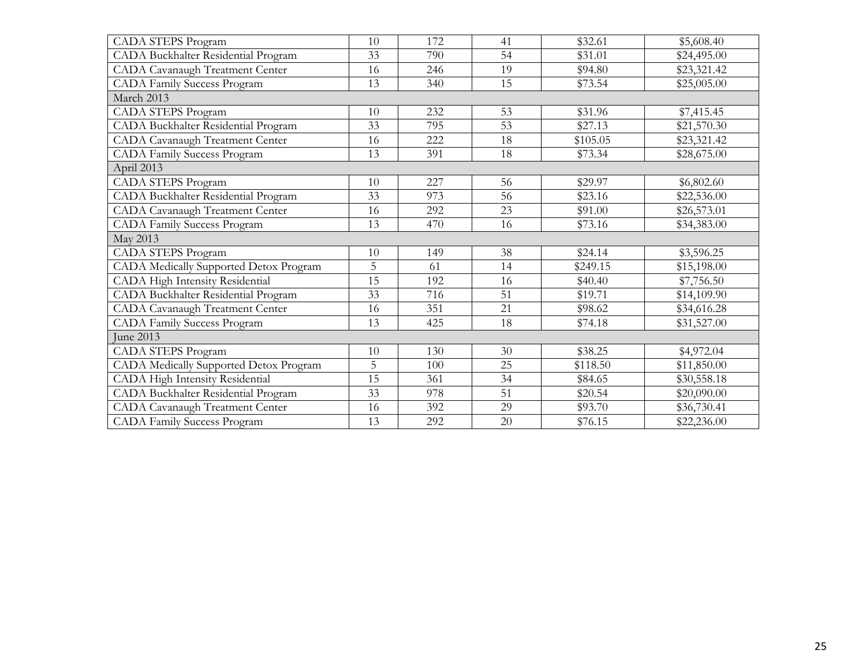| <b>CADA STEPS Program</b>              | 10             | 172 | 41              | \$32.61  | \$5,608.40  |  |  |  |  |
|----------------------------------------|----------------|-----|-----------------|----------|-------------|--|--|--|--|
| CADA Buckhalter Residential Program    | 33             | 790 | 54              | \$31.01  | \$24,495.00 |  |  |  |  |
| <b>CADA</b> Cavanaugh Treatment Center | 16             | 246 | 19              | \$94.80  | \$23,321.42 |  |  |  |  |
| <b>CADA Family Success Program</b>     | 13             | 340 | 15              | \$73.54  | \$25,005.00 |  |  |  |  |
| March 2013                             |                |     |                 |          |             |  |  |  |  |
| CADA STEPS Program                     | 10             | 232 | 53              | \$31.96  | \$7,415.45  |  |  |  |  |
| CADA Buckhalter Residential Program    | 33             | 795 | $\overline{53}$ | \$27.13  | \$21,570.30 |  |  |  |  |
| CADA Cavanaugh Treatment Center        | 16             | 222 | 18              | \$105.05 | \$23,321.42 |  |  |  |  |
| <b>CADA Family Success Program</b>     | 13             | 391 | 18              | \$73.34  | \$28,675.00 |  |  |  |  |
| April 2013                             |                |     |                 |          |             |  |  |  |  |
| <b>CADA STEPS Program</b>              | 10             | 227 | 56              | \$29.97  | \$6,802.60  |  |  |  |  |
| CADA Buckhalter Residential Program    | 33             | 973 | 56              | \$23.16  | \$22,536.00 |  |  |  |  |
| <b>CADA</b> Cavanaugh Treatment Center | 16             | 292 | 23              | \$91.00  | \$26,573.01 |  |  |  |  |
| <b>CADA Family Success Program</b>     | 13             | 470 | 16              | \$73.16  | \$34,383.00 |  |  |  |  |
| May 2013                               |                |     |                 |          |             |  |  |  |  |
| <b>CADA STEPS Program</b>              | 10             | 149 | 38              | \$24.14  | \$3,596.25  |  |  |  |  |
| CADA Medically Supported Detox Program | $\overline{5}$ | 61  | 14              | \$249.15 | \$15,198.00 |  |  |  |  |
| CADA High Intensity Residential        | 15             | 192 | 16              | \$40.40  | \$7,756.50  |  |  |  |  |
| CADA Buckhalter Residential Program    | 33             | 716 | 51              | \$19.71  | \$14,109.90 |  |  |  |  |
| CADA Cavanaugh Treatment Center        | 16             | 351 | 21              | \$98.62  | \$34,616.28 |  |  |  |  |
| <b>CADA Family Success Program</b>     | 13             | 425 | 18              | \$74.18  | \$31,527.00 |  |  |  |  |
| June 2013                              |                |     |                 |          |             |  |  |  |  |
| CADA STEPS Program                     | 10             | 130 | 30              | \$38.25  | \$4,972.04  |  |  |  |  |
| CADA Medically Supported Detox Program | 5              | 100 | 25              | \$118.50 | \$11,850.00 |  |  |  |  |
| CADA High Intensity Residential        | 15             | 361 | 34              | \$84.65  | \$30,558.18 |  |  |  |  |
| CADA Buckhalter Residential Program    | 33             | 978 | 51              | \$20.54  | \$20,090.00 |  |  |  |  |
| <b>CADA</b> Cavanaugh Treatment Center | 16             | 392 | 29              | \$93.70  | \$36,730.41 |  |  |  |  |
| <b>CADA Family Success Program</b>     | 13             | 292 | 20              | \$76.15  | \$22,236.00 |  |  |  |  |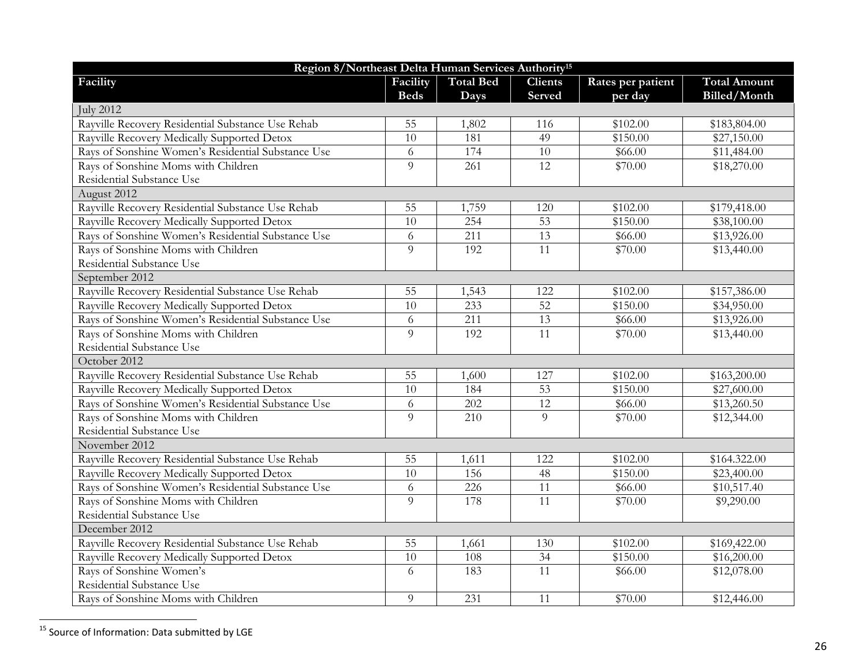| Region 8/Northeast Delta Human Services Authority <sup>15</sup> |                 |                  |                 |                     |                     |  |  |
|-----------------------------------------------------------------|-----------------|------------------|-----------------|---------------------|---------------------|--|--|
| Facility                                                        | Facility        | <b>Total Bed</b> | <b>Clients</b>  | Rates per patient   | <b>Total Amount</b> |  |  |
|                                                                 | <b>Beds</b>     | Days             | <b>Served</b>   | per day             | Billed/Month        |  |  |
| <b>July 2012</b>                                                |                 |                  |                 |                     |                     |  |  |
| Rayville Recovery Residential Substance Use Rehab               | 55              | 1,802            | 116             | \$102.00            | \$183,804.00        |  |  |
| Rayville Recovery Medically Supported Detox                     | 10              | 181              | 49              | \$150.00            | \$27,150.00         |  |  |
| Rays of Sonshine Women's Residential Substance Use              | 6               | 174              | 10              | $\overline{$}66.00$ | \$11,484.00         |  |  |
| Rays of Sonshine Moms with Children                             | 9               | 261              | 12              | \$70.00             | \$18,270.00         |  |  |
| Residential Substance Use                                       |                 |                  |                 |                     |                     |  |  |
| August 2012                                                     |                 |                  |                 |                     |                     |  |  |
| Rayville Recovery Residential Substance Use Rehab               | 55              | 1,759            | 120             | \$102.00            | \$179,418.00        |  |  |
| Rayville Recovery Medically Supported Detox                     | 10              | 254              | 53              | \$150.00            | \$38,100.00         |  |  |
| Rays of Sonshine Women's Residential Substance Use              | 6               | 211              | $\overline{13}$ | \$66.00             | \$13,926.00         |  |  |
| Rays of Sonshine Moms with Children                             | $\overline{9}$  | 192              | $\overline{11}$ | \$70.00             | \$13,440.00         |  |  |
| Residential Substance Use                                       |                 |                  |                 |                     |                     |  |  |
| September 2012                                                  |                 |                  |                 |                     |                     |  |  |
| Rayville Recovery Residential Substance Use Rehab               | 55              | 1,543            | 122             | \$102.00            | \$157,386.00        |  |  |
| Rayville Recovery Medically Supported Detox                     | $\overline{10}$ | 233              | 52              | \$150.00            | \$34,950.00         |  |  |
| Rays of Sonshine Women's Residential Substance Use              | 6               | 211              | 13              | \$66.00             | \$13,926.00         |  |  |
| Rays of Sonshine Moms with Children                             | 9               | 192              | 11              | \$70.00             | \$13,440.00         |  |  |
| Residential Substance Use                                       |                 |                  |                 |                     |                     |  |  |
| October 2012                                                    |                 |                  |                 |                     |                     |  |  |
| Rayville Recovery Residential Substance Use Rehab               | 55              | 1,600            | 127             | \$102.00            | \$163,200.00        |  |  |
| Rayville Recovery Medically Supported Detox                     | $\overline{10}$ | 184              | 53              | \$150.00            | \$27,600.00         |  |  |
| Rays of Sonshine Women's Residential Substance Use              | 6               | 202              | $\overline{12}$ | \$66.00             | \$13,260.50         |  |  |
| Rays of Sonshine Moms with Children                             | 9               | $\overline{210}$ | 9               | \$70.00             | \$12,344.00         |  |  |
| Residential Substance Use                                       |                 |                  |                 |                     |                     |  |  |
| November 2012                                                   |                 |                  |                 |                     |                     |  |  |
| Rayville Recovery Residential Substance Use Rehab               | $\overline{55}$ | 1,611            | 122             | \$102.00            | \$164.322.00        |  |  |
| Rayville Recovery Medically Supported Detox                     | 10              | 156              | 48              | \$150.00            | \$23,400.00         |  |  |
| Rays of Sonshine Women's Residential Substance Use              | 6               | 226              | 11              | \$66.00             | \$10,517.40         |  |  |
| Rays of Sonshine Moms with Children                             | 9               | 178              | 11              | \$70.00             | \$9,290.00          |  |  |
| Residential Substance Use                                       |                 |                  |                 |                     |                     |  |  |
| December 2012                                                   |                 |                  |                 |                     |                     |  |  |
| Rayville Recovery Residential Substance Use Rehab               | 55              | 1,661            | 130             | \$102.00            | \$169,422.00        |  |  |
| Rayville Recovery Medically Supported Detox                     | 10              | 108              | 34              | \$150.00            | \$16,200.00         |  |  |
| Rays of Sonshine Women's                                        | 6               | 183              | $\overline{11}$ | \$66.00             | \$12,078.00         |  |  |
| Residential Substance Use                                       |                 |                  |                 |                     |                     |  |  |
| Rays of Sonshine Moms with Children                             | 9               | 231              | 11              | \$70.00             | \$12,446.00         |  |  |

<sup>&</sup>lt;sup>15</sup> Source of Information: Data submitted by LGE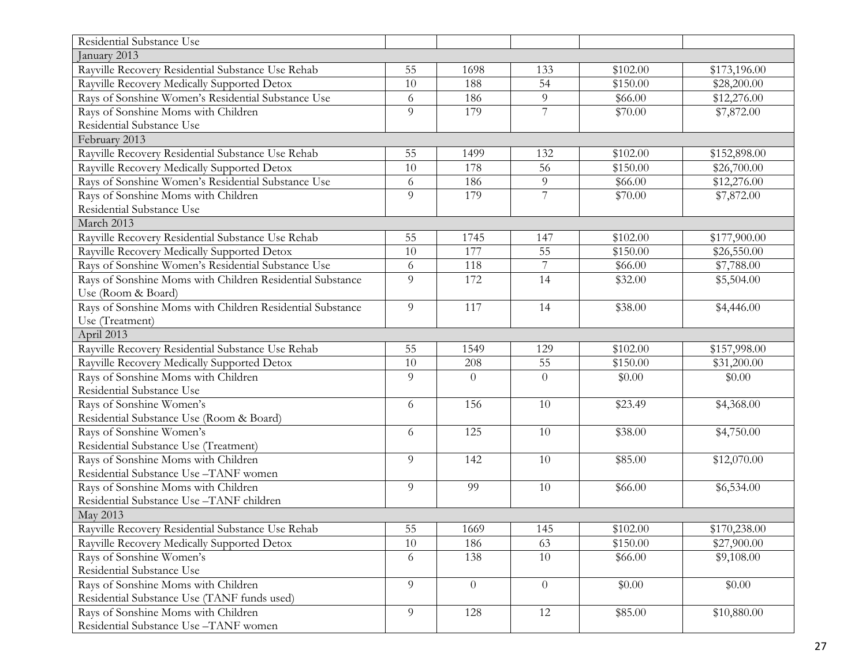| Residential Substance Use                                 |    |          |                |          |              |  |  |
|-----------------------------------------------------------|----|----------|----------------|----------|--------------|--|--|
| January 2013                                              |    |          |                |          |              |  |  |
| Rayville Recovery Residential Substance Use Rehab         | 55 | 1698     | 133            | \$102.00 | \$173,196.00 |  |  |
| Rayville Recovery Medically Supported Detox               | 10 | 188      | 54             | \$150.00 | \$28,200.00  |  |  |
| Rays of Sonshine Women's Residential Substance Use        | 6  | 186      | 9              | \$66.00  | \$12,276.00  |  |  |
| Rays of Sonshine Moms with Children                       | 9  | 179      | $\overline{7}$ | \$70.00  | \$7,872.00   |  |  |
| Residential Substance Use                                 |    |          |                |          |              |  |  |
| February 2013                                             |    |          |                |          |              |  |  |
| Rayville Recovery Residential Substance Use Rehab         | 55 | 1499     | 132            | \$102.00 | \$152,898.00 |  |  |
| Rayville Recovery Medically Supported Detox               | 10 | 178      | 56             | \$150.00 | \$26,700.00  |  |  |
| Rays of Sonshine Women's Residential Substance Use        | 6  | 186      | 9              | \$66.00  | \$12,276.00  |  |  |
| Rays of Sonshine Moms with Children                       | 9  | 179      | $\overline{7}$ | \$70.00  | \$7,872.00   |  |  |
| Residential Substance Use                                 |    |          |                |          |              |  |  |
| March 2013                                                |    |          |                |          |              |  |  |
| Rayville Recovery Residential Substance Use Rehab         | 55 | 1745     | 147            | \$102.00 | \$177,900.00 |  |  |
| Rayville Recovery Medically Supported Detox               | 10 | 177      | 55             | \$150.00 | \$26,550.00  |  |  |
| Rays of Sonshine Women's Residential Substance Use        | 6  | 118      | $\overline{7}$ | \$66.00  | \$7,788.00   |  |  |
| Rays of Sonshine Moms with Children Residential Substance | 9  | 172      | 14             | \$32.00  | \$5,504.00   |  |  |
| Use (Room & Board)                                        |    |          |                |          |              |  |  |
| Rays of Sonshine Moms with Children Residential Substance | 9  | 117      | 14             | \$38.00  | \$4,446.00   |  |  |
| Use (Treatment)                                           |    |          |                |          |              |  |  |
| April 2013                                                |    |          |                |          |              |  |  |
| Rayville Recovery Residential Substance Use Rehab         | 55 | 1549     | 129            | \$102.00 | \$157,998.00 |  |  |
| Rayville Recovery Medically Supported Detox               | 10 | 208      | 55             | \$150.00 | \$31,200.00  |  |  |
| Rays of Sonshine Moms with Children                       | 9  | $\Omega$ | $\Omega$       | \$0.00   | \$0.00       |  |  |
| Residential Substance Use                                 |    |          |                |          |              |  |  |
| Rays of Sonshine Women's                                  | 6  | 156      | 10             | \$23.49  | \$4,368.00   |  |  |
| Residential Substance Use (Room & Board)                  |    |          |                |          |              |  |  |
| Rays of Sonshine Women's                                  | 6  | 125      | 10             | \$38.00  | \$4,750.00   |  |  |
| Residential Substance Use (Treatment)                     |    |          |                |          |              |  |  |
| Rays of Sonshine Moms with Children                       | 9  | 142      | 10             | \$85.00  | \$12,070.00  |  |  |
| Residential Substance Use -TANF women                     |    |          |                |          |              |  |  |
| Rays of Sonshine Moms with Children                       | 9  | 99       | 10             | \$66.00  | \$6,534.00   |  |  |
| Residential Substance Use -TANF children                  |    |          |                |          |              |  |  |
| May 2013                                                  |    |          |                |          |              |  |  |
| Rayville Recovery Residential Substance Use Rehab         | 55 | 1669     | 145            | \$102.00 | \$170,238.00 |  |  |
| Rayville Recovery Medically Supported Detox               | 10 | 186      | 63             | \$150.00 | \$27,900.00  |  |  |
| Rays of Sonshine Women's                                  | 6  | 138      | 10             | \$66.00  | \$9,108.00   |  |  |
| Residential Substance Use                                 |    |          |                |          |              |  |  |
| Rays of Sonshine Moms with Children                       | 9  | $\theta$ | $\overline{0}$ | \$0.00   | \$0.00       |  |  |
| Residential Substance Use (TANF funds used)               |    |          |                |          |              |  |  |
| Rays of Sonshine Moms with Children                       | 9  | 128      | 12             | \$85.00  | \$10,880.00  |  |  |
| Residential Substance Use -TANF women                     |    |          |                |          |              |  |  |